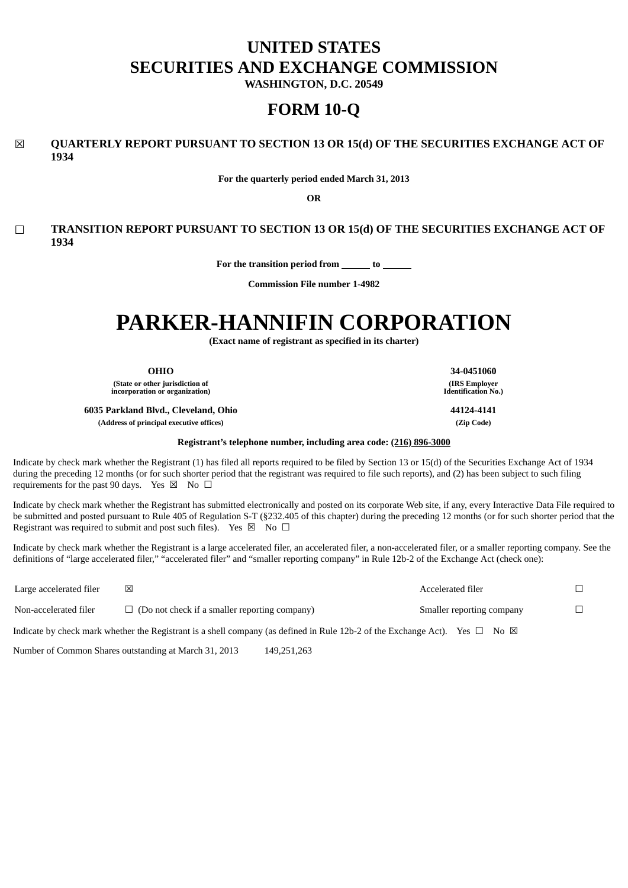# **UNITED STATES SECURITIES AND EXCHANGE COMMISSION**

**WASHINGTON, D.C. 20549**

# **FORM 10-Q**

## ☒ **QUARTERLY REPORT PURSUANT TO SECTION 13 OR 15(d) OF THE SECURITIES EXCHANGE ACT OF 1934**

**For the quarterly period ended March 31, 2013**

**OR**

## ☐ **TRANSITION REPORT PURSUANT TO SECTION 13 OR 15(d) OF THE SECURITIES EXCHANGE ACT OF 1934**

**For the transition period from to**

**Commission File number 1-4982**

# **PARKER-HANNIFIN CORPORATION**

**(Exact name of registrant as specified in its charter)**

**(State or other jurisdiction of incorporation or organization)**

**6035 Parkland Blvd., Cleveland, Ohio 44124-4141 (Address of principal executive offices) (Zip Code)**

**Registrant's telephone number, including area code: (216) 896-3000**

Indicate by check mark whether the Registrant (1) has filed all reports required to be filed by Section 13 or 15(d) of the Securities Exchange Act of 1934 during the preceding 12 months (or for such shorter period that the registrant was required to file such reports), and (2) has been subject to such filing requirements for the past 90 days. Yes  $\boxtimes$  No  $\Box$ 

Indicate by check mark whether the Registrant has submitted electronically and posted on its corporate Web site, if any, every Interactive Data File required to be submitted and posted pursuant to Rule 405 of Regulation S-T (§232.405 of this chapter) during the preceding 12 months (or for such shorter period that the Registrant was required to submit and post such files). Yes  $\boxtimes \Box$  No  $\Box$ 

Indicate by check mark whether the Registrant is a large accelerated filer, an accelerated filer, a non-accelerated filer, or a smaller reporting company. See the definitions of "large accelerated filer," "accelerated filer" and "smaller reporting company" in Rule 12b-2 of the Exchange Act (check one):

Large accelerated filer ☒ Accelerated filer ☐ Non-accelerated filer  $□$  (Do not check if a smaller reporting company) Smaller reporting company  $□$ Indicate by check mark whether the Registrant is a shell company (as defined in Rule 12b-2 of the Exchange Act). Yes  $\Box$  No  $\boxtimes$ 

Number of Common Shares outstanding at March 31, 2013 149,251,263

**(IRS Employer Identification No.)**

**OHIO 34-0451060**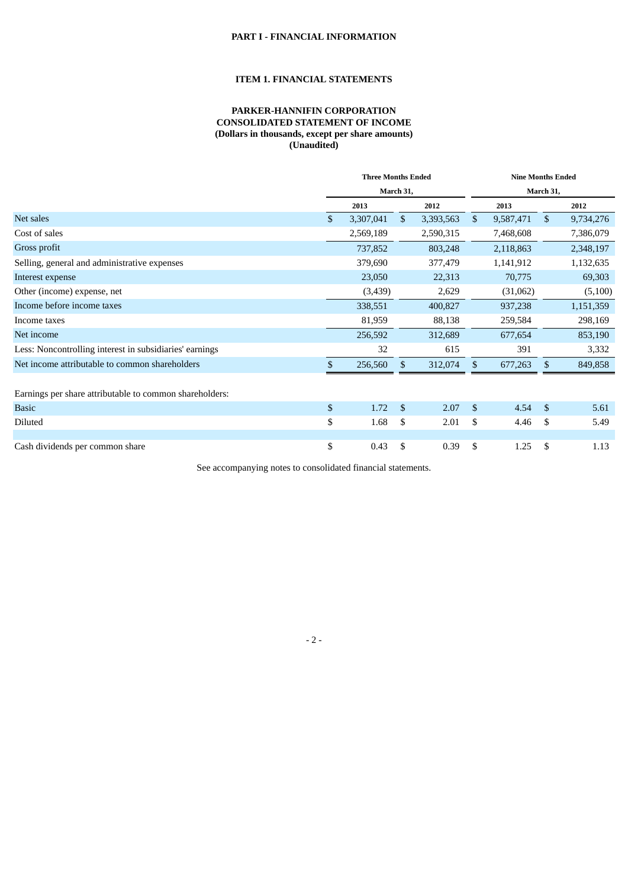## **PART I - FINANCIAL INFORMATION**

#### **ITEM 1. FINANCIAL STATEMENTS**

#### **PARKER-HANNIFIN CORPORATION CONSOLIDATED STATEMENT OF INCOME (Dollars in thousands, except per share amounts) (Unaudited)**

|                                                         | <b>Three Months Ended</b> |           |                |           |                | <b>Nine Months Ended</b> |              |           |  |  |  |
|---------------------------------------------------------|---------------------------|-----------|----------------|-----------|----------------|--------------------------|--------------|-----------|--|--|--|
|                                                         |                           |           | March 31,      |           | March 31,      |                          |              |           |  |  |  |
|                                                         |                           | 2013      |                | 2012      |                | 2013                     |              | 2012      |  |  |  |
| Net sales                                               | \$                        | 3,307,041 | $\mathbb{S}$   | 3,393,563 | \$             | 9,587,471                | $\mathbb{S}$ | 9,734,276 |  |  |  |
| Cost of sales                                           |                           | 2,569,189 |                | 2,590,315 |                | 7,468,608                |              | 7,386,079 |  |  |  |
| Gross profit                                            |                           | 737,852   |                | 803,248   |                | 2,118,863                |              | 2,348,197 |  |  |  |
| Selling, general and administrative expenses            |                           | 379,690   |                | 377,479   |                | 1,141,912                |              | 1,132,635 |  |  |  |
| Interest expense                                        |                           | 23,050    |                | 22,313    |                | 70,775                   |              | 69,303    |  |  |  |
| Other (income) expense, net                             |                           | (3,439)   |                | 2,629     |                | (31,062)                 |              | (5,100)   |  |  |  |
| Income before income taxes                              |                           | 338,551   |                | 400,827   |                | 937,238                  |              | 1,151,359 |  |  |  |
| Income taxes                                            |                           | 81,959    |                | 88,138    |                | 259,584                  |              | 298,169   |  |  |  |
| Net income                                              |                           | 256,592   |                | 312,689   |                | 677,654                  |              | 853,190   |  |  |  |
| Less: Noncontrolling interest in subsidiaries' earnings |                           | 32        |                | 615       |                | 391                      |              | 3,332     |  |  |  |
| Net income attributable to common shareholders          | \$                        | 256,560   | $\mathfrak{S}$ | 312,074   | \$             | 677,263                  | \$           | 849,858   |  |  |  |
| Earnings per share attributable to common shareholders: |                           |           |                |           |                |                          |              |           |  |  |  |
| <b>Basic</b>                                            | \$                        | 1.72      | $\mathbb{S}$   | 2.07      | $\mathfrak{S}$ | 4.54                     | -\$          | 5.61      |  |  |  |
| Diluted                                                 | \$                        | 1.68      | \$             | 2.01      | \$             | 4.46                     | \$           | 5.49      |  |  |  |
| Cash dividends per common share                         | \$                        | 0.43      | \$             | 0.39      | \$             | 1.25                     | \$           | 1.13      |  |  |  |

See accompanying notes to consolidated financial statements.

- 2 -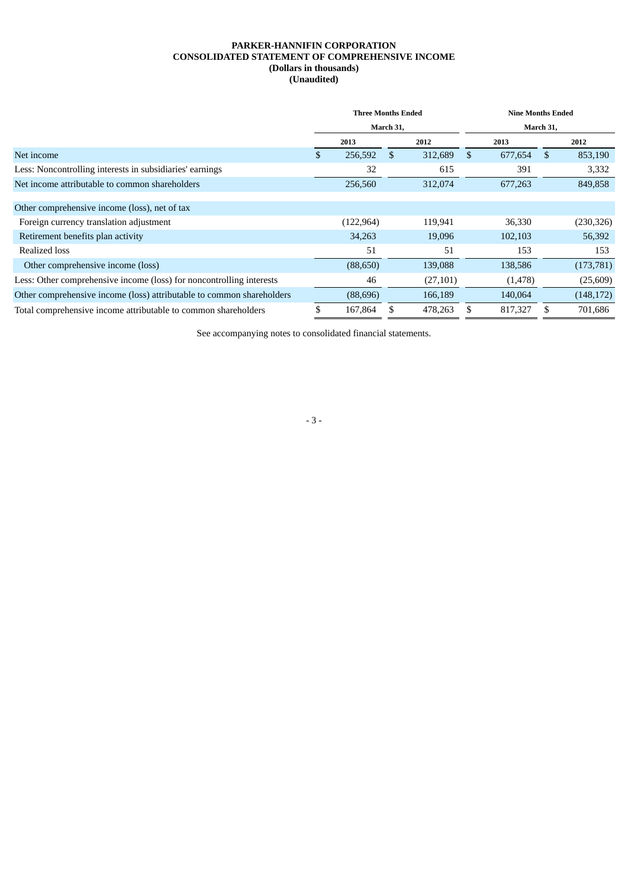#### **PARKER-HANNIFIN CORPORATION CONSOLIDATED STATEMENT OF COMPREHENSIVE INCOME (Dollars in thousands) (Unaudited)**

|                                                                       | <b>Three Months Ended</b> |            |           |           |           | <b>Nine Months Ended</b> |     |            |  |  |  |
|-----------------------------------------------------------------------|---------------------------|------------|-----------|-----------|-----------|--------------------------|-----|------------|--|--|--|
|                                                                       |                           |            | March 31, |           | March 31, |                          |     |            |  |  |  |
|                                                                       |                           | 2013       |           | 2012      |           | 2013                     |     | 2012       |  |  |  |
| Net income                                                            | \$                        | 256,592    | S         | 312,689   | S.        | 677,654                  | -S  | 853,190    |  |  |  |
| Less: Noncontrolling interests in subsidiaries' earnings              |                           | 32         |           | 615       |           | 391                      |     | 3,332      |  |  |  |
| Net income attributable to common shareholders                        |                           | 256,560    |           | 312,074   |           | 677,263                  |     | 849,858    |  |  |  |
|                                                                       |                           |            |           |           |           |                          |     |            |  |  |  |
| Other comprehensive income (loss), net of tax                         |                           |            |           |           |           |                          |     |            |  |  |  |
| Foreign currency translation adjustment                               |                           | (122, 964) |           | 119,941   |           | 36,330                   |     | (230, 326) |  |  |  |
| Retirement benefits plan activity                                     |                           | 34,263     |           | 19,096    |           | 102,103                  |     | 56,392     |  |  |  |
| Realized loss                                                         |                           | 51         |           | 51        |           | 153                      |     | 153        |  |  |  |
| Other comprehensive income (loss)                                     |                           | (88, 650)  |           | 139,088   |           | 138,586                  |     | (173, 781) |  |  |  |
| Less: Other comprehensive income (loss) for noncontrolling interests  |                           | 46         |           | (27, 101) |           | (1, 478)                 |     | (25,609)   |  |  |  |
| Other comprehensive income (loss) attributable to common shareholders |                           | (88, 696)  |           | 166,189   |           | 140,064                  |     | (148, 172) |  |  |  |
| Total comprehensive income attributable to common shareholders        | \$                        | 167,864    |           | 478,263   |           | 817,327                  | \$. | 701,686    |  |  |  |

See accompanying notes to consolidated financial statements.

- 3 -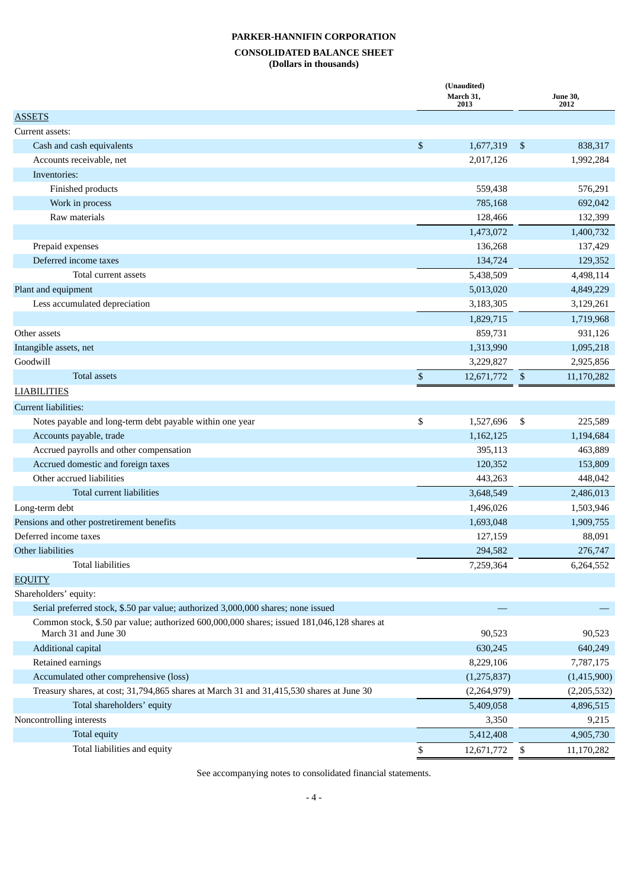## **CONSOLIDATED BALANCE SHEET (Dollars in thousands)**

|                                                                                            |              | (Unaudited)<br>March 31,<br>2013 | <b>June 30,</b><br>2012 |
|--------------------------------------------------------------------------------------------|--------------|----------------------------------|-------------------------|
| <b>ASSETS</b>                                                                              |              |                                  |                         |
| Current assets:                                                                            |              |                                  |                         |
| Cash and cash equivalents                                                                  | \$           | 1,677,319                        | \$<br>838,317           |
| Accounts receivable, net                                                                   |              | 2,017,126                        | 1,992,284               |
| Inventories:                                                                               |              |                                  |                         |
| Finished products                                                                          |              | 559,438                          | 576,291                 |
| Work in process                                                                            |              | 785,168                          | 692,042                 |
| Raw materials                                                                              |              | 128,466                          | 132,399                 |
|                                                                                            |              | 1,473,072                        | 1,400,732               |
| Prepaid expenses                                                                           |              | 136,268                          | 137,429                 |
| Deferred income taxes                                                                      |              | 134,724                          | 129,352                 |
| Total current assets                                                                       |              | 5,438,509                        | 4,498,114               |
| Plant and equipment                                                                        |              | 5,013,020                        | 4,849,229               |
| Less accumulated depreciation                                                              |              | 3,183,305                        | 3,129,261               |
|                                                                                            |              | 1,829,715                        | 1,719,968               |
| Other assets                                                                               |              | 859,731                          | 931,126                 |
| Intangible assets, net                                                                     |              | 1,313,990                        | 1,095,218               |
| Goodwill                                                                                   |              | 3,229,827                        | 2,925,856               |
| <b>Total assets</b>                                                                        | $\mathbb{S}$ | 12,671,772                       | \$<br>11,170,282        |
| <b>LIABILITIES</b>                                                                         |              |                                  |                         |
| <b>Current liabilities:</b>                                                                |              |                                  |                         |
| Notes payable and long-term debt payable within one year                                   | \$           | 1,527,696                        | \$<br>225,589           |
| Accounts payable, trade                                                                    |              | 1,162,125                        | 1,194,684               |
| Accrued payrolls and other compensation                                                    |              | 395,113                          | 463,889                 |
| Accrued domestic and foreign taxes                                                         |              | 120,352                          | 153,809                 |
| Other accrued liabilities                                                                  |              | 443,263                          | 448,042                 |
| Total current liabilities                                                                  |              | 3,648,549                        | 2,486,013               |
| Long-term debt                                                                             |              | 1,496,026                        | 1,503,946               |
| Pensions and other postretirement benefits                                                 |              | 1,693,048                        | 1,909,755               |
| Deferred income taxes                                                                      |              | 127,159                          | 88,091                  |
| Other liabilities                                                                          |              | 294,582                          | 276,747                 |
| <b>Total liabilities</b>                                                                   |              | 7,259,364                        | 6,264,552               |
| <b>EQUITY</b>                                                                              |              |                                  |                         |
| Shareholders' equity:                                                                      |              |                                  |                         |
| Serial preferred stock, \$.50 par value; authorized 3,000,000 shares; none issued          |              |                                  |                         |
| Common stock, \$.50 par value; authorized 600,000,000 shares; issued 181,046,128 shares at |              |                                  |                         |
| March 31 and June 30                                                                       |              | 90,523                           | 90,523                  |
| Additional capital                                                                         |              | 630,245                          | 640,249                 |
| Retained earnings                                                                          |              | 8,229,106                        | 7,787,175               |
| Accumulated other comprehensive (loss)                                                     |              | (1,275,837)                      | (1,415,900)             |
| Treasury shares, at cost; 31,794,865 shares at March 31 and 31,415,530 shares at June 30   |              | (2,264,979)                      | (2,205,532)             |
| Total shareholders' equity                                                                 |              | 5,409,058                        | 4,896,515               |
| Noncontrolling interests                                                                   |              | 3,350                            | 9,215                   |
| Total equity                                                                               |              | 5,412,408                        | 4,905,730               |
| Total liabilities and equity                                                               | \$           | 12,671,772                       | \$<br>11,170,282        |

See accompanying notes to consolidated financial statements.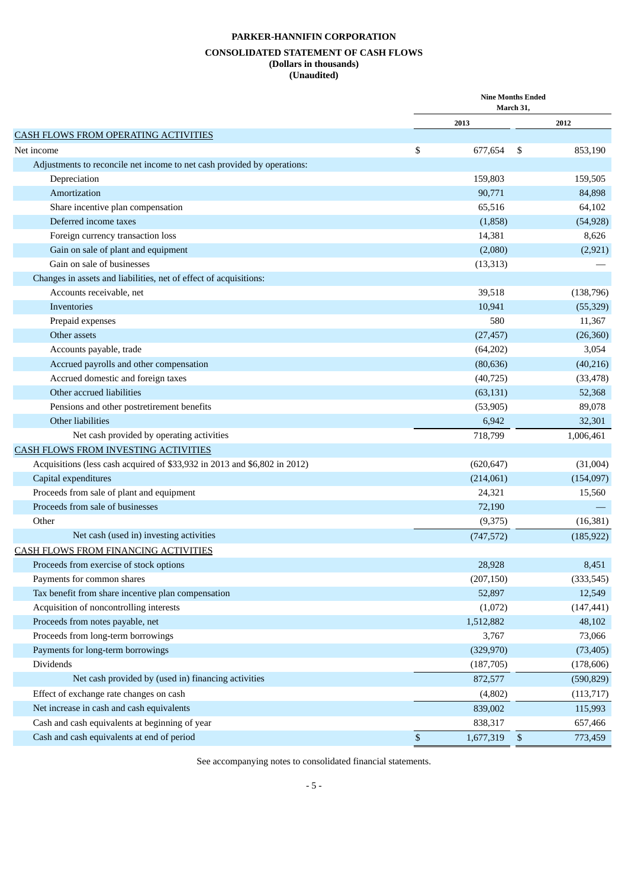#### **CONSOLIDATED STATEMENT OF CASH FLOWS (Dollars in thousands) (Unaudited)**

|                                                                           |               | <b>Nine Months Ended</b><br>March 31, |            |
|---------------------------------------------------------------------------|---------------|---------------------------------------|------------|
|                                                                           |               | 2013                                  | 2012       |
| <b>CASH FLOWS FROM OPERATING ACTIVITIES</b>                               |               |                                       |            |
| Net income                                                                | \$            | 677,654<br>-\$                        | 853,190    |
| Adjustments to reconcile net income to net cash provided by operations:   |               |                                       |            |
| Depreciation                                                              |               | 159,803                               | 159,505    |
| Amortization                                                              |               | 90,771                                | 84,898     |
| Share incentive plan compensation                                         |               | 65,516                                | 64,102     |
| Deferred income taxes                                                     |               | (1,858)                               | (54, 928)  |
| Foreign currency transaction loss                                         |               | 14,381                                | 8,626      |
| Gain on sale of plant and equipment                                       |               | (2,080)                               | (2,921)    |
| Gain on sale of businesses                                                |               | (13, 313)                             |            |
| Changes in assets and liabilities, net of effect of acquisitions:         |               |                                       |            |
| Accounts receivable, net                                                  |               | 39,518                                | (138, 796) |
| Inventories                                                               |               | 10,941                                | (55, 329)  |
| Prepaid expenses                                                          |               | 580                                   | 11,367     |
| Other assets                                                              |               | (27, 457)                             | (26, 360)  |
| Accounts payable, trade                                                   |               | (64,202)                              | 3,054      |
| Accrued payrolls and other compensation                                   |               | (80, 636)                             | (40,216)   |
| Accrued domestic and foreign taxes                                        |               | (40, 725)                             | (33, 478)  |
| Other accrued liabilities                                                 |               | (63, 131)                             | 52,368     |
| Pensions and other postretirement benefits                                |               | (53,905)                              | 89,078     |
| Other liabilities                                                         |               | 6,942                                 | 32,301     |
| Net cash provided by operating activities                                 |               | 718,799                               | 1,006,461  |
| CASH FLOWS FROM INVESTING ACTIVITIES                                      |               |                                       |            |
| Acquisitions (less cash acquired of \$33,932 in 2013 and \$6,802 in 2012) |               | (620, 647)                            | (31,004)   |
| Capital expenditures                                                      |               | (214,061)                             | (154, 097) |
| Proceeds from sale of plant and equipment                                 |               | 24,321                                | 15,560     |
| Proceeds from sale of businesses                                          |               | 72,190                                |            |
| Other                                                                     |               | (9, 375)                              | (16, 381)  |
| Net cash (used in) investing activities                                   |               | (747, 572)                            | (185, 922) |
| CASH FLOWS FROM FINANCING ACTIVITIES                                      |               |                                       |            |
| Proceeds from exercise of stock options                                   |               | 28,928                                | 8,451      |
| Payments for common shares                                                |               | (207, 150)                            | (333, 545) |
| Tax benefit from share incentive plan compensation                        |               | 52,897                                | 12,549     |
| Acquisition of noncontrolling interests                                   |               | (1,072)                               | (147, 441) |
| Proceeds from notes payable, net                                          |               | 1,512,882                             | 48,102     |
| Proceeds from long-term borrowings                                        |               | 3,767                                 | 73,066     |
| Payments for long-term borrowings                                         |               | (329, 970)                            | (73, 405)  |
| Dividends                                                                 |               | (187, 705)                            | (178, 606) |
| Net cash provided by (used in) financing activities                       |               | 872,577                               | (590, 829) |
| Effect of exchange rate changes on cash                                   |               | (4,802)                               | (113, 717) |
| Net increase in cash and cash equivalents                                 |               | 839,002                               | 115,993    |
| Cash and cash equivalents at beginning of year                            |               | 838,317                               | 657,466    |
| Cash and cash equivalents at end of period                                | $\sqrt[6]{3}$ | $\mathbb{S}$<br>1,677,319             | 773,459    |
|                                                                           |               |                                       |            |

See accompanying notes to consolidated financial statements.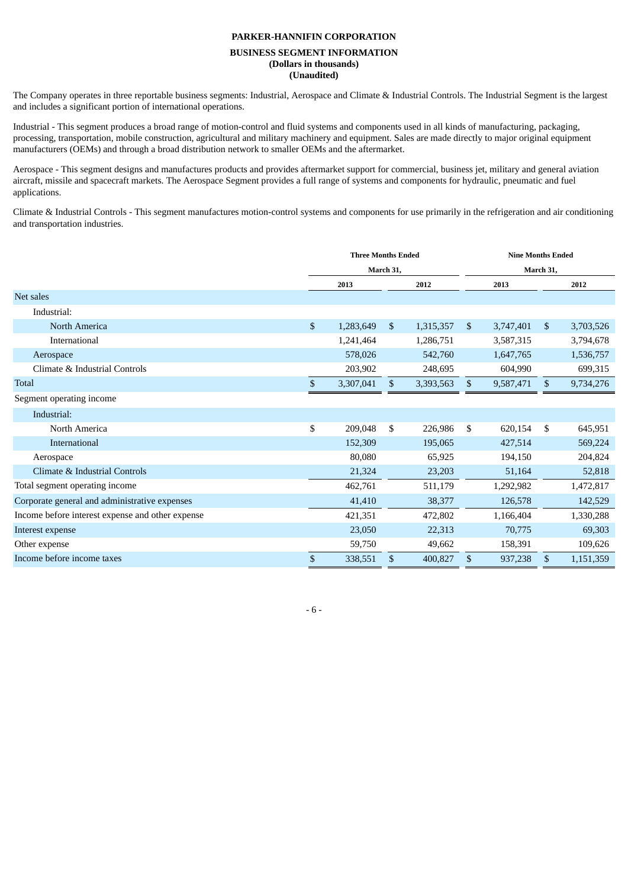#### **BUSINESS SEGMENT INFORMATION (Dollars in thousands) (Unaudited)**

The Company operates in three reportable business segments: Industrial, Aerospace and Climate & Industrial Controls. The Industrial Segment is the largest and includes a significant portion of international operations.

Industrial - This segment produces a broad range of motion-control and fluid systems and components used in all kinds of manufacturing, packaging, processing, transportation, mobile construction, agricultural and military machinery and equipment. Sales are made directly to major original equipment manufacturers (OEMs) and through a broad distribution network to smaller OEMs and the aftermarket.

Aerospace - This segment designs and manufactures products and provides aftermarket support for commercial, business jet, military and general aviation aircraft, missile and spacecraft markets. The Aerospace Segment provides a full range of systems and components for hydraulic, pneumatic and fuel applications.

Climate & Industrial Controls - This segment manufactures motion-control systems and components for use primarily in the refrigeration and air conditioning and transportation industries.

|                                                  | <b>Three Months Ended</b> |           |           |           | <b>Nine Months Ended</b> |           |    |           |
|--------------------------------------------------|---------------------------|-----------|-----------|-----------|--------------------------|-----------|----|-----------|
|                                                  |                           |           | March 31, |           | March 31,                |           |    |           |
|                                                  |                           | 2013      |           | 2012      |                          | 2013      |    | 2012      |
| Net sales                                        |                           |           |           |           |                          |           |    |           |
| Industrial:                                      |                           |           |           |           |                          |           |    |           |
| North America                                    | \$                        | 1,283,649 | \$        | 1,315,357 | $\mathbb{S}$             | 3,747,401 | \$ | 3,703,526 |
| International                                    |                           | 1,241,464 |           | 1,286,751 |                          | 3,587,315 |    | 3,794,678 |
| Aerospace                                        |                           | 578,026   |           | 542,760   |                          | 1,647,765 |    | 1,536,757 |
| Climate & Industrial Controls                    |                           | 203,902   |           | 248,695   |                          | 604,990   |    | 699,315   |
| Total                                            | \$                        | 3,307,041 | \$        | 3,393,563 | \$                       | 9,587,471 | \$ | 9,734,276 |
| Segment operating income                         |                           |           |           |           |                          |           |    |           |
| Industrial:                                      |                           |           |           |           |                          |           |    |           |
| North America                                    | \$                        | 209,048   | \$        | 226,986   | \$                       | 620,154   | \$ | 645,951   |
| <b>International</b>                             |                           | 152,309   |           | 195,065   |                          | 427,514   |    | 569,224   |
| Aerospace                                        |                           | 80.080    |           | 65,925    |                          | 194.150   |    | 204.824   |
| Climate & Industrial Controls                    |                           | 21,324    |           | 23,203    |                          | 51,164    |    | 52,818    |
| Total segment operating income                   |                           | 462,761   |           | 511,179   |                          | 1,292,982 |    | 1,472,817 |
| Corporate general and administrative expenses    |                           | 41,410    |           | 38,377    |                          | 126,578   |    | 142,529   |
| Income before interest expense and other expense |                           | 421,351   |           | 472,802   |                          | 1,166,404 |    | 1,330,288 |
| Interest expense                                 |                           | 23,050    |           | 22,313    |                          | 70,775    |    | 69,303    |
| Other expense                                    |                           | 59,750    |           | 49,662    |                          | 158,391   |    | 109,626   |
| Income before income taxes                       | \$                        | 338,551   | \$        | 400,827   | \$                       | 937,238   | \$ | 1,151,359 |

- 6 -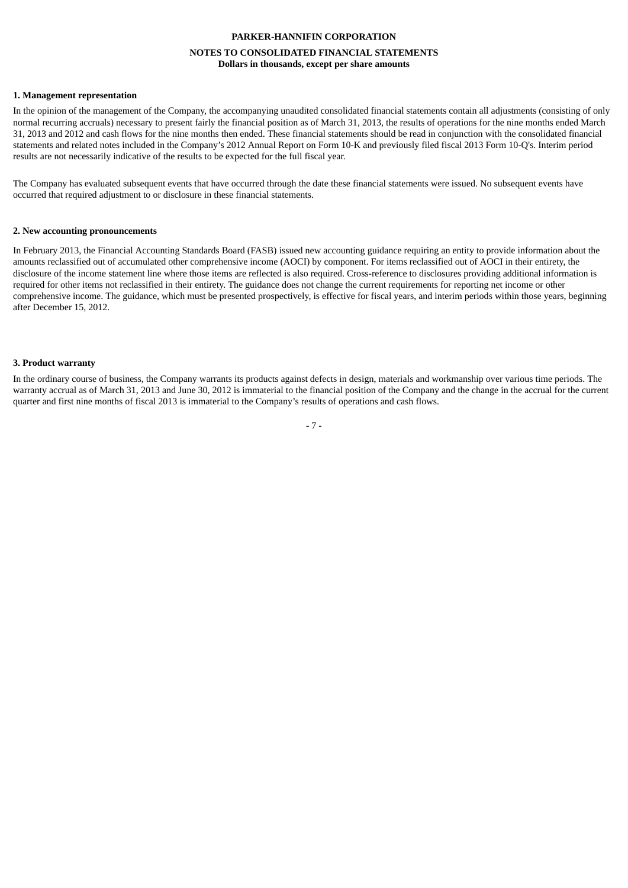## **PARKER-HANNIFIN CORPORATION NOTES TO CONSOLIDATED FINANCIAL STATEMENTS Dollars in thousands, except per share amounts**

#### **1. Management representation**

In the opinion of the management of the Company, the accompanying unaudited consolidated financial statements contain all adjustments (consisting of only normal recurring accruals) necessary to present fairly the financial position as of March 31, 2013, the results of operations for the nine months ended March 31, 2013 and 2012 and cash flows for the nine months then ended. These financial statements should be read in conjunction with the consolidated financial statements and related notes included in the Company's 2012 Annual Report on Form 10-K and previously filed fiscal 2013 Form 10-Q's. Interim period results are not necessarily indicative of the results to be expected for the full fiscal year.

The Company has evaluated subsequent events that have occurred through the date these financial statements were issued. No subsequent events have occurred that required adjustment to or disclosure in these financial statements.

#### **2. New accounting pronouncements**

In February 2013, the Financial Accounting Standards Board (FASB) issued new accounting guidance requiring an entity to provide information about the amounts reclassified out of accumulated other comprehensive income (AOCI) by component. For items reclassified out of AOCI in their entirety, the disclosure of the income statement line where those items are reflected is also required. Cross-reference to disclosures providing additional information is required for other items not reclassified in their entirety. The guidance does not change the current requirements for reporting net income or other comprehensive income. The guidance, which must be presented prospectively, is effective for fiscal years, and interim periods within those years, beginning after December 15, 2012.

#### **3. Product warranty**

In the ordinary course of business, the Company warrants its products against defects in design, materials and workmanship over various time periods. The warranty accrual as of March 31, 2013 and June 30, 2012 is immaterial to the financial position of the Company and the change in the accrual for the current quarter and first nine months of fiscal 2013 is immaterial to the Company's results of operations and cash flows.

- 7 -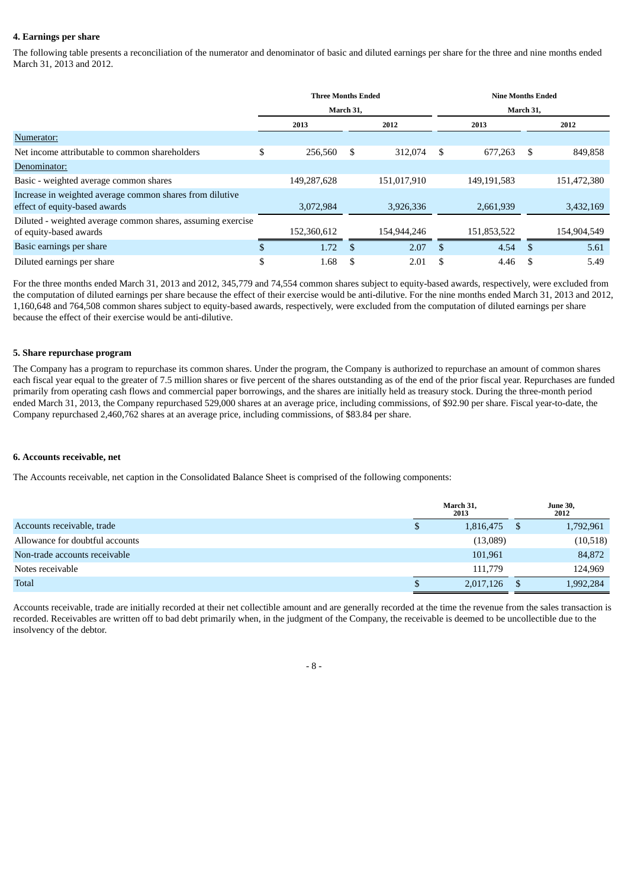#### **4. Earnings per share**

The following table presents a reconciliation of the numerator and denominator of basic and diluted earnings per share for the three and nine months ended March 31, 2013 and 2012.

|                                                                                           |   | <b>Three Months Ended</b> |               |             | <b>Nine Months Ended</b> |             |           |             |  |
|-------------------------------------------------------------------------------------------|---|---------------------------|---------------|-------------|--------------------------|-------------|-----------|-------------|--|
|                                                                                           |   |                           | March 31,     |             |                          |             | March 31, |             |  |
|                                                                                           |   | 2013                      | 2012          |             |                          | 2013        |           | 2012        |  |
| Numerator:                                                                                |   |                           |               |             |                          |             |           |             |  |
| Net income attributable to common shareholders                                            | S | 256,560                   | \$            | 312.074     | \$                       | 677,263     | -S        | 849,858     |  |
| Denominator:                                                                              |   |                           |               |             |                          |             |           |             |  |
| Basic - weighted average common shares                                                    |   | 149,287,628               |               | 151,017,910 |                          | 149,191,583 |           | 151,472,380 |  |
| Increase in weighted average common shares from dilutive<br>effect of equity-based awards |   | 3,072,984                 |               | 3,926,336   |                          | 2,661,939   |           | 3,432,169   |  |
| Diluted - weighted average common shares, assuming exercise<br>of equity-based awards     |   | 152,360,612               |               | 154,944,246 |                          | 151,853,522 |           | 154,904,549 |  |
| Basic earnings per share                                                                  |   | 1.72                      | <sup>\$</sup> | 2.07        | -\$                      | 4.54        | - \$      | 5.61        |  |
| Diluted earnings per share                                                                |   | 1.68                      | S             | 2.01        | S                        | 4.46        |           | 5.49        |  |

For the three months ended March 31, 2013 and 2012, 345,779 and 74,554 common shares subject to equity-based awards, respectively, were excluded from the computation of diluted earnings per share because the effect of their exercise would be anti-dilutive. For the nine months ended March 31, 2013 and 2012, 1,160,648 and 764,508 common shares subject to equity-based awards, respectively, were excluded from the computation of diluted earnings per share because the effect of their exercise would be anti-dilutive.

#### **5. Share repurchase program**

The Company has a program to repurchase its common shares. Under the program, the Company is authorized to repurchase an amount of common shares each fiscal year equal to the greater of 7.5 million shares or five percent of the shares outstanding as of the end of the prior fiscal year. Repurchases are funded primarily from operating cash flows and commercial paper borrowings, and the shares are initially held as treasury stock. During the three-month period ended March 31, 2013, the Company repurchased 529,000 shares at an average price, including commissions, of \$92.90 per share. Fiscal year-to-date, the Company repurchased 2,460,762 shares at an average price, including commissions, of \$83.84 per share.

#### **6. Accounts receivable, net**

The Accounts receivable, net caption in the Consolidated Balance Sheet is comprised of the following components:

|                                 | March 31,<br>2013 |           |    | <b>June 30,</b><br>2012 |
|---------------------------------|-------------------|-----------|----|-------------------------|
| Accounts receivable, trade      |                   | 1,816,475 | \$ | 1,792,961               |
| Allowance for doubtful accounts |                   | (13,089)  |    | (10,518)                |
| Non-trade accounts receivable   |                   | 101,961   |    | 84,872                  |
| Notes receivable                |                   | 111,779   |    | 124,969                 |
| Total                           |                   | 2,017,126 |    | 1,992,284               |

Accounts receivable, trade are initially recorded at their net collectible amount and are generally recorded at the time the revenue from the sales transaction is recorded. Receivables are written off to bad debt primarily when, in the judgment of the Company, the receivable is deemed to be uncollectible due to the insolvency of the debtor.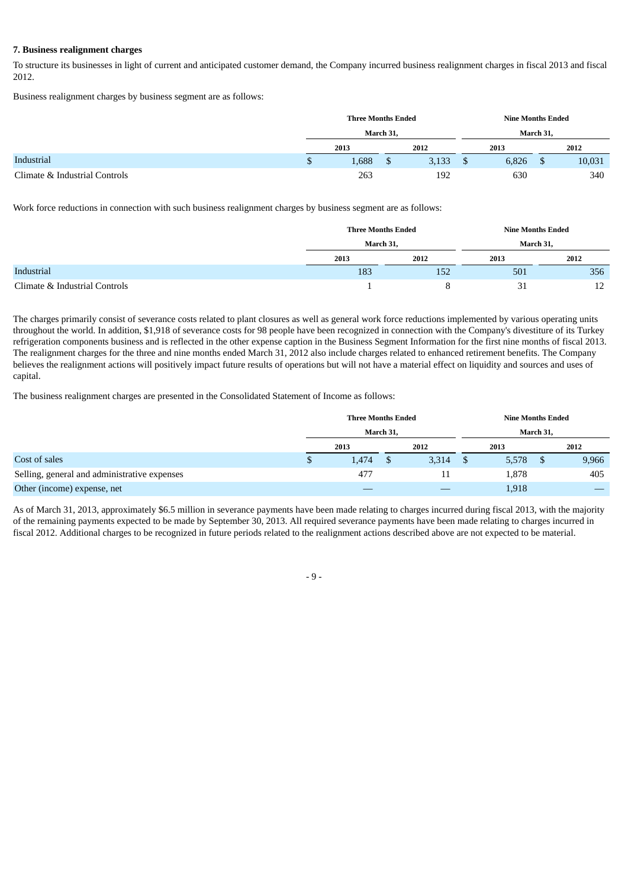#### **7. Business realignment charges**

To structure its businesses in light of current and anticipated customer demand, the Company incurred business realignment charges in fiscal 2013 and fiscal 2012.

Business realignment charges by business segment are as follows:

|                               | <b>Three Months Ended</b> |       |  |       |           |       |      | <b>Nine Months Ended</b> |  |  |
|-------------------------------|---------------------------|-------|--|-------|-----------|-------|------|--------------------------|--|--|
|                               | March 31,                 |       |  |       | March 31, |       |      |                          |  |  |
|                               |                           | 2013  |  | 2012  |           | 2013  | 2012 |                          |  |  |
| Industrial                    | Φ                         | 1,688 |  | 3,133 |           | 6,826 | \$   | 10,031                   |  |  |
| Climate & Industrial Controls |                           | 263   |  | 192   |           | 630   |      | 340                      |  |  |

Work force reductions in connection with such business realignment charges by business segment are as follows:

|                               | <b>Three Months Ended</b> |      |      | <b>Nine Months Ended</b> |  |  |
|-------------------------------|---------------------------|------|------|--------------------------|--|--|
|                               | March 31,                 |      |      | March 31,                |  |  |
|                               | 2013                      | 2012 | 2013 | 2012                     |  |  |
| Industrial                    | 183                       | 152  | 501  | 356                      |  |  |
| Climate & Industrial Controls |                           |      | 31   | 12                       |  |  |

The charges primarily consist of severance costs related to plant closures as well as general work force reductions implemented by various operating units throughout the world. In addition, \$1,918 of severance costs for 98 people have been recognized in connection with the Company's divestiture of its Turkey refrigeration components business and is reflected in the other expense caption in the Business Segment Information for the first nine months of fiscal 2013. The realignment charges for the three and nine months ended March 31, 2012 also include charges related to enhanced retirement benefits. The Company believes the realignment actions will positively impact future results of operations but will not have a material effect on liquidity and sources and uses of capital.

The business realignment charges are presented in the Consolidated Statement of Income as follows:

|                                              | <b>Three Months Ended</b> |  | <b>Nine Months Ended</b> |  |           |      |       |  |  |
|----------------------------------------------|---------------------------|--|--------------------------|--|-----------|------|-------|--|--|
|                                              | March 31,                 |  |                          |  | March 31, |      |       |  |  |
|                                              | 2013                      |  | 2012                     |  | 2013      | 2012 |       |  |  |
| Cost of sales                                | 1,474                     |  | 3,314                    |  | 5,578     | -S   | 9,966 |  |  |
| Selling, general and administrative expenses | 477                       |  | 11                       |  | 1,878     |      | 405   |  |  |
| Other (income) expense, net                  |                           |  |                          |  | 1,918     |      |       |  |  |

As of March 31, 2013, approximately \$6.5 million in severance payments have been made relating to charges incurred during fiscal 2013, with the majority of the remaining payments expected to be made by September 30, 2013. All required severance payments have been made relating to charges incurred in fiscal 2012. Additional charges to be recognized in future periods related to the realignment actions described above are not expected to be material.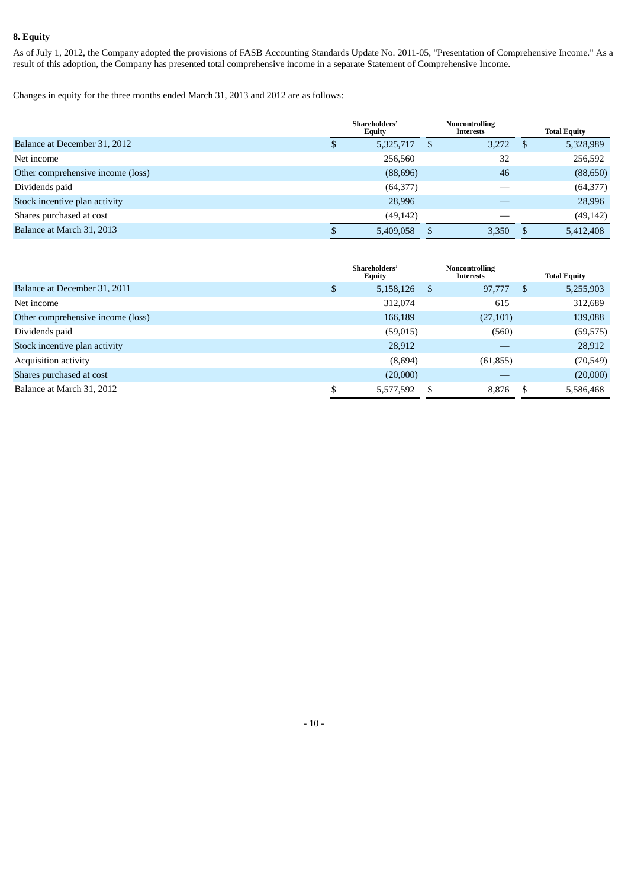## **8. Equity**

As of July 1, 2012, the Company adopted the provisions of FASB Accounting Standards Update No. 2011-05, "Presentation of Comprehensive Income." As a result of this adoption, the Company has presented total comprehensive income in a separate Statement of Comprehensive Income.

Changes in equity for the three months ended March 31, 2013 and 2012 are as follows:

|                                   | Shareholders'<br><b>Equity</b> |           |    | <b>Noncontrolling</b><br>Interests | <b>Total Equity</b> |
|-----------------------------------|--------------------------------|-----------|----|------------------------------------|---------------------|
| Balance at December 31, 2012      | Ф                              | 5,325,717 | -S | 3,272                              | 5,328,989           |
| Net income                        |                                | 256,560   |    | 32                                 | 256,592             |
| Other comprehensive income (loss) |                                | (88, 696) |    | 46                                 | (88, 650)           |
| Dividends paid                    |                                | (64, 377) |    |                                    | (64, 377)           |
| Stock incentive plan activity     |                                | 28,996    |    |                                    | 28,996              |
| Shares purchased at cost          |                                | (49, 142) |    |                                    | (49, 142)           |
| Balance at March 31, 2013         |                                | 5,409,058 | S  | 3,350                              | 5,412,408           |

|                                   |   | Shareholders'<br><b>Equity</b> | Noncontrolling<br><b>Interests</b> |           |    | <b>Total Equity</b> |
|-----------------------------------|---|--------------------------------|------------------------------------|-----------|----|---------------------|
| Balance at December 31, 2011      | S | 5,158,126                      | -S                                 | 97,777    | S  | 5,255,903           |
| Net income                        |   | 312,074                        |                                    | 615       |    | 312,689             |
| Other comprehensive income (loss) |   | 166,189                        |                                    | (27, 101) |    | 139,088             |
| Dividends paid                    |   | (59, 015)                      |                                    | (560)     |    | (59, 575)           |
| Stock incentive plan activity     |   | 28,912                         |                                    |           |    | 28,912              |
| <b>Acquisition activity</b>       |   | (8,694)                        |                                    | (61, 855) |    | (70, 549)           |
| Shares purchased at cost          |   | (20,000)                       |                                    |           |    | (20,000)            |
| Balance at March 31, 2012         |   | 5,577,592                      | S                                  | 8,876     | £. | 5,586,468           |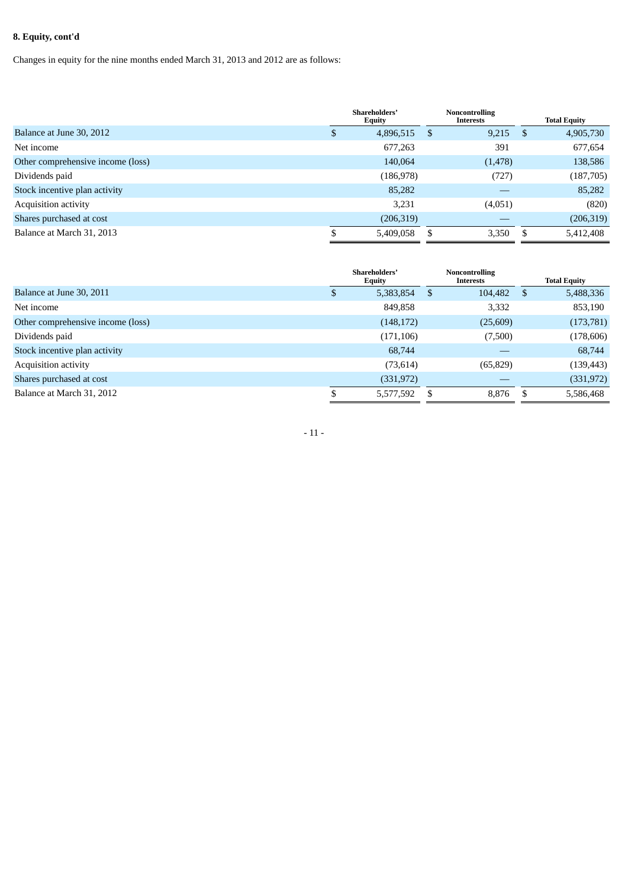## **8. Equity, cont'd**

Changes in equity for the nine months ended March 31, 2013 and 2012 are as follows:

|                                   | Shareholders'<br><b>Equity</b> |            |   | Noncontrolling<br>Interests |     | <b>Total Equity</b> |
|-----------------------------------|--------------------------------|------------|---|-----------------------------|-----|---------------------|
| Balance at June 30, 2012          |                                | 4,896,515  | S | $9,215$ \$                  |     | 4,905,730           |
| Net income                        |                                | 677,263    |   | 391                         |     | 677,654             |
| Other comprehensive income (loss) |                                | 140,064    |   | (1, 478)                    |     | 138,586             |
| Dividends paid                    |                                | (186, 978) |   | (727)                       |     | (187, 705)          |
| Stock incentive plan activity     |                                | 85,282     |   |                             |     | 85,282              |
| <b>Acquisition activity</b>       |                                | 3.231      |   | (4,051)                     |     | (820)               |
| Shares purchased at cost          |                                | (206, 319) |   |                             |     | (206, 319)          |
| Balance at March 31, 2013         |                                | 5,409,058  | S | 3,350                       | \$. | 5,412,408           |

|                                   | Shareholders'<br>Noncontrolling<br><b>Equity</b><br><b>Interests</b> |            |    |           |      | <b>Total Equity</b> |
|-----------------------------------|----------------------------------------------------------------------|------------|----|-----------|------|---------------------|
| Balance at June 30, 2011          | Ф                                                                    | 5,383,854  | -S | 104,482   | - \$ | 5,488,336           |
| Net income                        |                                                                      | 849,858    |    | 3,332     |      | 853,190             |
| Other comprehensive income (loss) |                                                                      | (148, 172) |    | (25, 609) |      | (173, 781)          |
| Dividends paid                    |                                                                      | (171, 106) |    | (7,500)   |      | (178, 606)          |
| Stock incentive plan activity     |                                                                      | 68.744     |    |           |      | 68,744              |
| <b>Acquisition activity</b>       |                                                                      | (73, 614)  |    | (65, 829) |      | (139, 443)          |
| Shares purchased at cost          |                                                                      | (331,972)  |    |           |      | (331, 972)          |
| Balance at March 31, 2012         |                                                                      | 5,577,592  | S  | 8,876     | - \$ | 5,586,468           |

- 11 -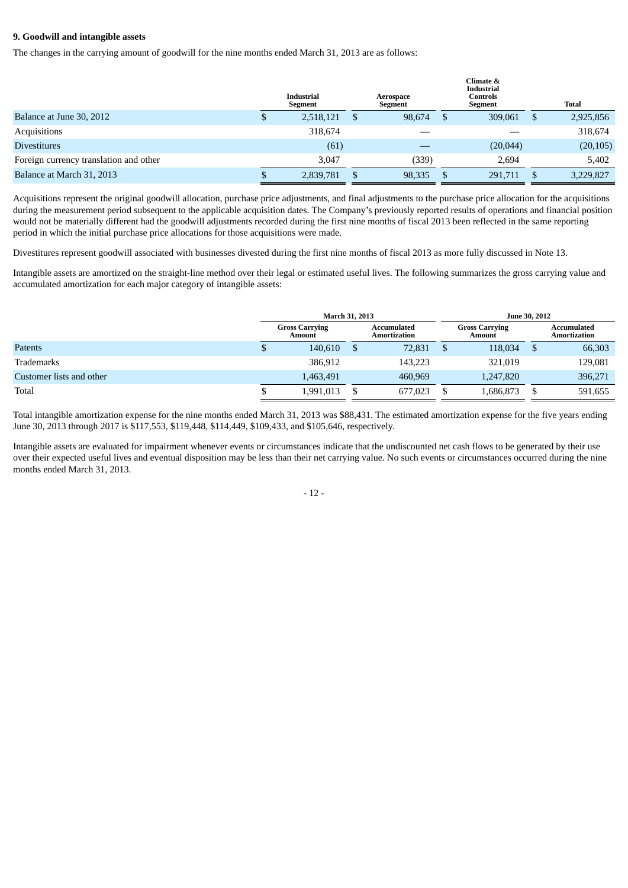#### **9. Goodwill and intangible assets**

The changes in the carrying amount of goodwill for the nine months ended March 31, 2013 are as follows:

|                                        | <b>Industrial</b><br>Segment | Climate &<br><b>Industrial</b><br>Controls<br>Aerospace<br>Segment<br>Segment |        |  |           | Total |           |
|----------------------------------------|------------------------------|-------------------------------------------------------------------------------|--------|--|-----------|-------|-----------|
| Balance at June 30, 2012               | 2,518,121                    |                                                                               | 98,674 |  | 309,061   | S     | 2,925,856 |
| Acquisitions                           | 318,674                      |                                                                               |        |  |           |       | 318,674   |
| <b>Divestitures</b>                    | (61)                         |                                                                               |        |  | (20, 044) |       | (20, 105) |
| Foreign currency translation and other | 3,047                        |                                                                               | (339)  |  | 2,694     |       | 5,402     |
| Balance at March 31, 2013              | 2,839,781                    |                                                                               | 98,335 |  | 291,711   |       | 3,229,827 |

Acquisitions represent the original goodwill allocation, purchase price adjustments, and final adjustments to the purchase price allocation for the acquisitions during the measurement period subsequent to the applicable acquisition dates. The Company's previously reported results of operations and financial position would not be materially different had the goodwill adjustments recorded during the first nine months of fiscal 2013 been reflected in the same reporting period in which the initial purchase price allocations for those acquisitions were made.

Divestitures represent goodwill associated with businesses divested during the first nine months of fiscal 2013 as more fully discussed in Note 13.

Intangible assets are amortized on the straight-line method over their legal or estimated useful lives. The following summarizes the gross carrying value and accumulated amortization for each major category of intangible assets:

| <b>March 31, 2013</b> |                                 |  |                             |  | <b>June 30, 2012</b>            |  |                             |  |
|-----------------------|---------------------------------|--|-----------------------------|--|---------------------------------|--|-----------------------------|--|
|                       | <b>Gross Carrying</b><br>Amount |  | Accumulated<br>Amortization |  | <b>Gross Carrying</b><br>Amount |  | Accumulated<br>Amortization |  |
|                       | 140,610                         |  | 72,831                      |  | 118,034                         |  | 66,303                      |  |
|                       | 386.912                         |  | 143,223                     |  | 321.019                         |  | 129,081                     |  |
|                       | 1,463,491                       |  | 460,969                     |  | 1,247,820                       |  | 396,271                     |  |
|                       | 1,991,013                       |  | 677,023                     |  | 1,686,873                       |  | 591,655                     |  |
|                       |                                 |  |                             |  |                                 |  |                             |  |

Total intangible amortization expense for the nine months ended March 31, 2013 was \$88,431. The estimated amortization expense for the five years ending June 30, 2013 through 2017 is \$117,553, \$119,448, \$114,449, \$109,433, and \$105,646, respectively.

Intangible assets are evaluated for impairment whenever events or circumstances indicate that the undiscounted net cash flows to be generated by their use over their expected useful lives and eventual disposition may be less than their net carrying value. No such events or circumstances occurred during the nine months ended March 31, 2013.

- 12 -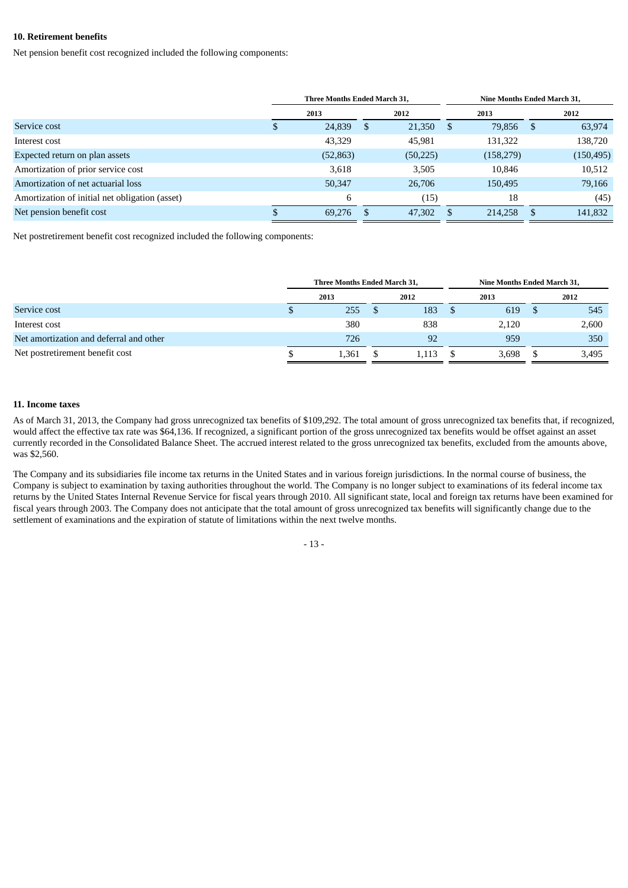#### **10. Retirement benefits**

Net pension benefit cost recognized included the following components:

|                                                | <b>Three Months Ended March 31.</b> |           |      |           |    | Nine Months Ended March 31. |  |            |  |
|------------------------------------------------|-------------------------------------|-----------|------|-----------|----|-----------------------------|--|------------|--|
|                                                |                                     | 2013      |      | 2012      |    | 2013                        |  | 2012       |  |
| Service cost                                   | \$                                  | 24,839    | - \$ | 21,350    | S  | 79,856                      |  | 63,974     |  |
| Interest cost                                  |                                     | 43,329    |      | 45,981    |    | 131,322                     |  | 138,720    |  |
| Expected return on plan assets                 |                                     | (52, 863) |      | (50, 225) |    | (158, 279)                  |  | (150, 495) |  |
| Amortization of prior service cost             |                                     | 3,618     |      | 3,505     |    | 10,846                      |  | 10,512     |  |
| Amortization of net actuarial loss             |                                     | 50,347    |      | 26,706    |    | 150,495                     |  | 79,166     |  |
| Amortization of initial net obligation (asset) |                                     | 6         |      | (15)      |    | 18                          |  | (45)       |  |
| Net pension benefit cost                       |                                     | 69,276    |      | 47,302    | -S | 214,258                     |  | 141,832    |  |

Net postretirement benefit cost recognized included the following components:

|                                         | <b>Three Months Ended March 31.</b> |       |  |       |  | Nine Months Ended March 31. |    |       |  |
|-----------------------------------------|-------------------------------------|-------|--|-------|--|-----------------------------|----|-------|--|
|                                         |                                     | 2013  |  | 2012  |  | 2013                        |    | 2012  |  |
| Service cost                            |                                     | 255   |  | 183   |  | 619                         | J. | 545   |  |
| Interest cost                           |                                     | 380   |  | 838   |  | 2,120                       |    | 2,600 |  |
| Net amortization and deferral and other |                                     | 726   |  | 92    |  | 959                         |    | 350   |  |
| Net postretirement benefit cost         |                                     | L.361 |  | 1.113 |  | 3.698                       | ъ  | 3,495 |  |

#### **11. Income taxes**

As of March 31, 2013, the Company had gross unrecognized tax benefits of \$109,292. The total amount of gross unrecognized tax benefits that, if recognized, would affect the effective tax rate was \$64,136. If recognized, a significant portion of the gross unrecognized tax benefits would be offset against an asset currently recorded in the Consolidated Balance Sheet. The accrued interest related to the gross unrecognized tax benefits, excluded from the amounts above, was \$2,560.

The Company and its subsidiaries file income tax returns in the United States and in various foreign jurisdictions. In the normal course of business, the Company is subject to examination by taxing authorities throughout the world. The Company is no longer subject to examinations of its federal income tax returns by the United States Internal Revenue Service for fiscal years through 2010. All significant state, local and foreign tax returns have been examined for fiscal years through 2003. The Company does not anticipate that the total amount of gross unrecognized tax benefits will significantly change due to the settlement of examinations and the expiration of statute of limitations within the next twelve months.

- 13 -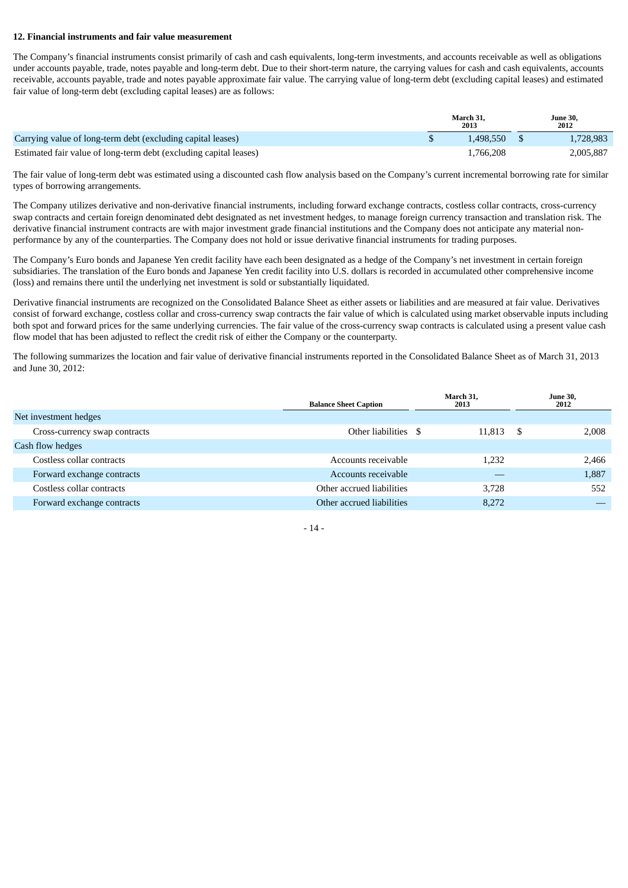#### **12. Financial instruments and fair value measurement**

The Company's financial instruments consist primarily of cash and cash equivalents, long-term investments, and accounts receivable as well as obligations under accounts payable, trade, notes payable and long-term debt. Due to their short-term nature, the carrying values for cash and cash equivalents, accounts receivable, accounts payable, trade and notes payable approximate fair value. The carrying value of long-term debt (excluding capital leases) and estimated fair value of long-term debt (excluding capital leases) are as follows:

|                                                                   | March 31.<br>2013 | <b>June 30,</b><br>2012 |
|-------------------------------------------------------------------|-------------------|-------------------------|
| Carrying value of long-term debt (excluding capital leases)       | 1.498.550         | I,728,983               |
| Estimated fair value of long-term debt (excluding capital leases) | 1.766.208         | 2.005.887               |

The fair value of long-term debt was estimated using a discounted cash flow analysis based on the Company's current incremental borrowing rate for similar types of borrowing arrangements.

The Company utilizes derivative and non-derivative financial instruments, including forward exchange contracts, costless collar contracts, cross-currency swap contracts and certain foreign denominated debt designated as net investment hedges, to manage foreign currency transaction and translation risk. The derivative financial instrument contracts are with major investment grade financial institutions and the Company does not anticipate any material nonperformance by any of the counterparties. The Company does not hold or issue derivative financial instruments for trading purposes.

The Company's Euro bonds and Japanese Yen credit facility have each been designated as a hedge of the Company's net investment in certain foreign subsidiaries. The translation of the Euro bonds and Japanese Yen credit facility into U.S. dollars is recorded in accumulated other comprehensive income (loss) and remains there until the underlying net investment is sold or substantially liquidated.

Derivative financial instruments are recognized on the Consolidated Balance Sheet as either assets or liabilities and are measured at fair value. Derivatives consist of forward exchange, costless collar and cross-currency swap contracts the fair value of which is calculated using market observable inputs including both spot and forward prices for the same underlying currencies. The fair value of the cross-currency swap contracts is calculated using a present value cash flow model that has been adjusted to reflect the credit risk of either the Company or the counterparty.

The following summarizes the location and fair value of derivative financial instruments reported in the Consolidated Balance Sheet as of March 31, 2013 and June 30, 2012:

|                               | <b>Balance Sheet Caption</b> | March 31,<br>2013 | <b>June 30,</b><br>2012 |
|-------------------------------|------------------------------|-------------------|-------------------------|
| Net investment hedges         |                              |                   |                         |
| Cross-currency swap contracts | Other liabilities \$         | 11.813            | 2,008<br>- \$           |
| Cash flow hedges              |                              |                   |                         |
| Costless collar contracts     | Accounts receivable          | 1.232             | 2,466                   |
| Forward exchange contracts    | Accounts receivable          |                   | 1,887                   |
| Costless collar contracts     | Other accrued liabilities    | 3.728             | 552                     |
| Forward exchange contracts    | Other accrued liabilities    | 8,272             |                         |

 $-14-$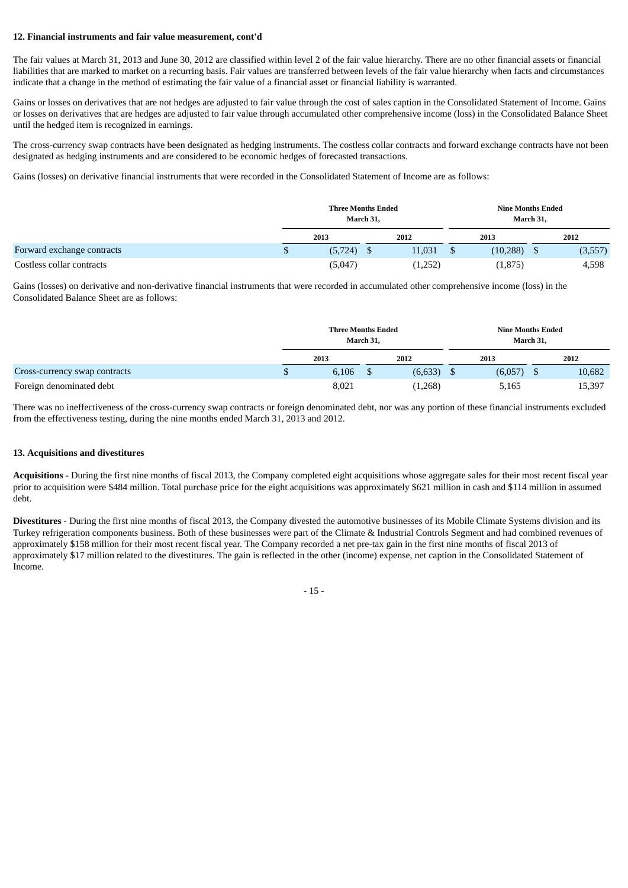#### **12. Financial instruments and fair value measurement, cont'd**

The fair values at March 31, 2013 and June 30, 2012 are classified within level 2 of the fair value hierarchy. There are no other financial assets or financial liabilities that are marked to market on a recurring basis. Fair values are transferred between levels of the fair value hierarchy when facts and circumstances indicate that a change in the method of estimating the fair value of a financial asset or financial liability is warranted.

Gains or losses on derivatives that are not hedges are adjusted to fair value through the cost of sales caption in the Consolidated Statement of Income. Gains or losses on derivatives that are hedges are adjusted to fair value through accumulated other comprehensive income (loss) in the Consolidated Balance Sheet until the hedged item is recognized in earnings.

The cross-currency swap contracts have been designated as hedging instruments. The costless collar contracts and forward exchange contracts have not been designated as hedging instruments and are considered to be economic hedges of forecasted transactions.

Gains (losses) on derivative financial instruments that were recorded in the Consolidated Statement of Income are as follows:

|                            |   | <b>Three Months Ended</b><br><b>Nine Months Ended</b><br>March 31,<br>March 31, |  |         |  |           |         |  |  |
|----------------------------|---|---------------------------------------------------------------------------------|--|---------|--|-----------|---------|--|--|
|                            |   | 2013                                                                            |  | 2012    |  | 2013      | 2012    |  |  |
| Forward exchange contracts | Ф | (5, 724)                                                                        |  | 11,031  |  | (10, 288) | (3,557) |  |  |
| Costless collar contracts  |   | (5,047)                                                                         |  | (1,252) |  | (1,875)   | 4,598   |  |  |

Gains (losses) on derivative and non-derivative financial instruments that were recorded in accumulated other comprehensive income (loss) in the Consolidated Balance Sheet are as follows:

|                               | <b>Three Months Ended</b> | March 31, |          | <b>Nine Months Ended</b> | March 31, |        |  |  |
|-------------------------------|---------------------------|-----------|----------|--------------------------|-----------|--------|--|--|
|                               | 2013                      |           | 2012     | 2013                     |           | 2012   |  |  |
| Cross-currency swap contracts | 6,106                     |           | (6, 633) | (6,057)                  |           | 10,682 |  |  |
| Foreign denominated debt      | 8,021                     |           | (1,268)  | 5,165                    |           | 15,397 |  |  |

There was no ineffectiveness of the cross-currency swap contracts or foreign denominated debt, nor was any portion of these financial instruments excluded from the effectiveness testing, during the nine months ended March 31, 2013 and 2012.

#### **13. Acquisitions and divestitures**

**Acquisitions** - During the first nine months of fiscal 2013, the Company completed eight acquisitions whose aggregate sales for their most recent fiscal year prior to acquisition were \$484 million. Total purchase price for the eight acquisitions was approximately \$621 million in cash and \$114 million in assumed debt.

**Divestitures** - During the first nine months of fiscal 2013, the Company divested the automotive businesses of its Mobile Climate Systems division and its Turkey refrigeration components business. Both of these businesses were part of the Climate & Industrial Controls Segment and had combined revenues of approximately \$158 million for their most recent fiscal year. The Company recorded a net pre-tax gain in the first nine months of fiscal 2013 of approximately \$17 million related to the divestitures. The gain is reflected in the other (income) expense, net caption in the Consolidated Statement of Income.

- 15 -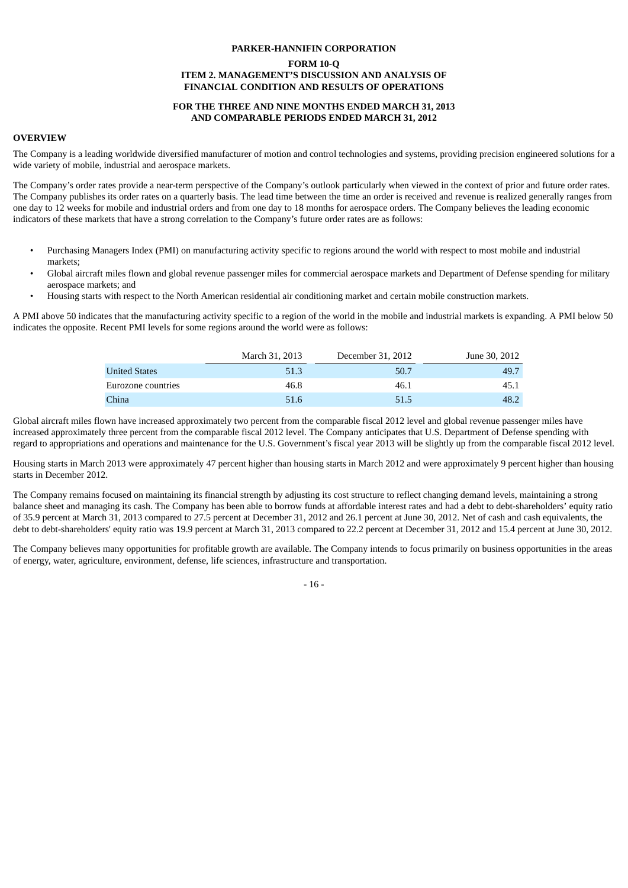#### **FORM 10-Q ITEM 2. MANAGEMENT'S DISCUSSION AND ANALYSIS OF FINANCIAL CONDITION AND RESULTS OF OPERATIONS**

#### **FOR THE THREE AND NINE MONTHS ENDED MARCH 31, 2013 AND COMPARABLE PERIODS ENDED MARCH 31, 2012**

#### **OVERVIEW**

The Company is a leading worldwide diversified manufacturer of motion and control technologies and systems, providing precision engineered solutions for a wide variety of mobile, industrial and aerospace markets.

The Company's order rates provide a near-term perspective of the Company's outlook particularly when viewed in the context of prior and future order rates. The Company publishes its order rates on a quarterly basis. The lead time between the time an order is received and revenue is realized generally ranges from one day to 12 weeks for mobile and industrial orders and from one day to 18 months for aerospace orders. The Company believes the leading economic indicators of these markets that have a strong correlation to the Company's future order rates are as follows:

- Purchasing Managers Index (PMI) on manufacturing activity specific to regions around the world with respect to most mobile and industrial markets;
- Global aircraft miles flown and global revenue passenger miles for commercial aerospace markets and Department of Defense spending for military aerospace markets; and
- Housing starts with respect to the North American residential air conditioning market and certain mobile construction markets.

A PMI above 50 indicates that the manufacturing activity specific to a region of the world in the mobile and industrial markets is expanding. A PMI below 50 indicates the opposite. Recent PMI levels for some regions around the world were as follows:

|                      | March 31, 2013 | December 31, 2012 | June 30, 2012 |
|----------------------|----------------|-------------------|---------------|
| <b>United States</b> | 51.3           | 50.7              | 49.7          |
| Eurozone countries   | 46.8           | 46.1              | 45.1          |
| China                | 51.6           | 51.5              | 48.2          |

Global aircraft miles flown have increased approximately two percent from the comparable fiscal 2012 level and global revenue passenger miles have increased approximately three percent from the comparable fiscal 2012 level. The Company anticipates that U.S. Department of Defense spending with regard to appropriations and operations and maintenance for the U.S. Government's fiscal year 2013 will be slightly up from the comparable fiscal 2012 level.

Housing starts in March 2013 were approximately 47 percent higher than housing starts in March 2012 and were approximately 9 percent higher than housing starts in December 2012.

The Company remains focused on maintaining its financial strength by adjusting its cost structure to reflect changing demand levels, maintaining a strong balance sheet and managing its cash. The Company has been able to borrow funds at affordable interest rates and had a debt to debt-shareholders' equity ratio of 35.9 percent at March 31, 2013 compared to 27.5 percent at December 31, 2012 and 26.1 percent at June 30, 2012. Net of cash and cash equivalents, the debt to debt-shareholders' equity ratio was 19.9 percent at March 31, 2013 compared to 22.2 percent at December 31, 2012 and 15.4 percent at June 30, 2012.

The Company believes many opportunities for profitable growth are available. The Company intends to focus primarily on business opportunities in the areas of energy, water, agriculture, environment, defense, life sciences, infrastructure and transportation.

 $-16-$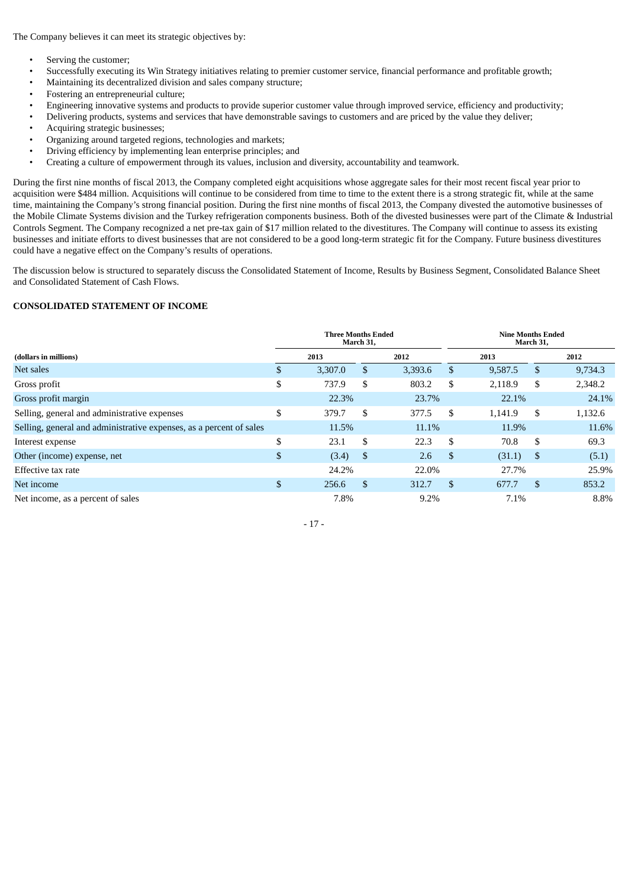The Company believes it can meet its strategic objectives by:

- Serving the customer;
- Successfully executing its Win Strategy initiatives relating to premier customer service, financial performance and profitable growth;
- Maintaining its decentralized division and sales company structure;
- Fostering an entrepreneurial culture;
- Engineering innovative systems and products to provide superior customer value through improved service, efficiency and productivity;
- Delivering products, systems and services that have demonstrable savings to customers and are priced by the value they deliver;
- Acquiring strategic businesses;
- Organizing around targeted regions, technologies and markets;
- Driving efficiency by implementing lean enterprise principles; and
- Creating a culture of empowerment through its values, inclusion and diversity, accountability and teamwork.

During the first nine months of fiscal 2013, the Company completed eight acquisitions whose aggregate sales for their most recent fiscal year prior to acquisition were \$484 million. Acquisitions will continue to be considered from time to time to the extent there is a strong strategic fit, while at the same time, maintaining the Company's strong financial position. During the first nine months of fiscal 2013, the Company divested the automotive businesses of the Mobile Climate Systems division and the Turkey refrigeration components business. Both of the divested businesses were part of the Climate & Industrial Controls Segment. The Company recognized a net pre-tax gain of \$17 million related to the divestitures. The Company will continue to assess its existing businesses and initiate efforts to divest businesses that are not considered to be a good long-term strategic fit for the Company. Future business divestitures could have a negative effect on the Company's results of operations.

The discussion below is structured to separately discuss the Consolidated Statement of Income, Results by Business Segment, Consolidated Balance Sheet and Consolidated Statement of Cash Flows.

#### **CONSOLIDATED STATEMENT OF INCOME**

|                                                                     |     | <b>Three Months Ended</b> | March 31, |         | <b>Nine Months Ended</b><br>March 31, |         |               |         |  |
|---------------------------------------------------------------------|-----|---------------------------|-----------|---------|---------------------------------------|---------|---------------|---------|--|
| (dollars in millions)                                               |     | 2013                      |           | 2012    |                                       | 2013    |               | 2012    |  |
| Net sales                                                           | \$. | 3.307.0                   | \$.       | 3,393.6 | <sup>\$</sup>                         | 9.587.5 | \$            | 9,734.3 |  |
| Gross profit                                                        | S   | 737.9                     | \$        | 803.2   | -S                                    | 2,118.9 | S             | 2,348.2 |  |
| Gross profit margin                                                 |     | 22.3%                     |           | 23.7%   |                                       | 22.1%   |               | 24.1%   |  |
| Selling, general and administrative expenses                        | \$  | 379.7                     | -S        | 377.5   | -\$                                   | 1,141.9 | S             | 1,132.6 |  |
| Selling, general and administrative expenses, as a percent of sales |     | 11.5%                     |           | 11.1%   |                                       | 11.9%   |               | 11.6%   |  |
| Interest expense                                                    | \$  | 23.1                      | \$        | 22.3    | -S                                    | 70.8    | \$            | 69.3    |  |
| Other (income) expense, net                                         | \$  | (3.4)                     | - \$      | 2.6     | \$                                    | (31.1)  | -\$           | (5.1)   |  |
| Effective tax rate                                                  |     | 24.2%                     |           | 22.0%   |                                       | 27.7%   |               | 25.9%   |  |
| Net income                                                          | \$  | 256.6                     | - \$      | 312.7   | -\$                                   | 677.7   | <sup>\$</sup> | 853.2   |  |
| Net income, as a percent of sales                                   |     | 7.8%                      |           | 9.2%    |                                       | 7.1%    |               | 8.8%    |  |

- 17 -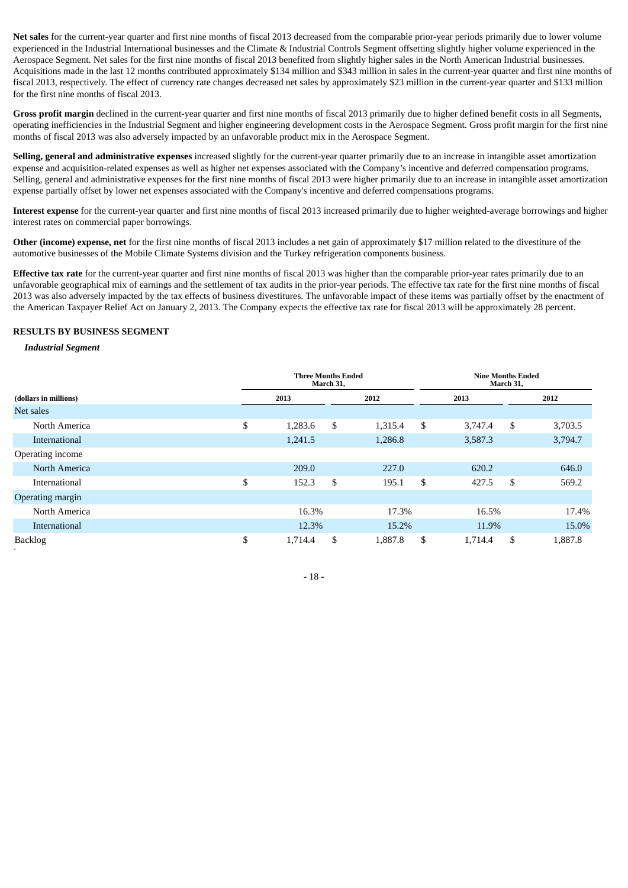**Net sales** for the current-year quarter and first nine months of fiscal 2013 decreased from the comparable prior-year periods primarily due to lower volume experienced in the Industrial International businesses and the Climate & Industrial Controls Segment offsetting slightly higher volume experienced in the Aerospace Segment. Net sales for the first nine months of fiscal 2013 benefited from slightly higher sales in the North American Industrial businesses. Acquisitions made in the last 12 months contributed approximately \$134 million and \$343 million in sales in the current-year quarter and first nine months of fiscal 2013, respectively. The effect of currency rate changes decreased net sales by approximately \$23 million in the current-year quarter and \$133 million for the first nine months of fiscal 2013.

**Gross profit margin** declined in the current-year quarter and first nine months of fiscal 2013 primarily due to higher defined benefit costs in all Segments, operating inefficiencies in the Industrial Segment and higher engineering development costs in the Aerospace Segment. Gross profit margin for the first nine months of fiscal 2013 was also adversely impacted by an unfavorable product mix in the Aerospace Segment.

**Selling, general and administrative expenses** increased slightly for the current-year quarter primarily due to an increase in intangible asset amortization expense and acquisition-related expenses as well as higher net expenses associated with the Company's incentive and deferred compensation programs. Selling, general and administrative expenses for the first nine months of fiscal 2013 were higher primarily due to an increase in intangible asset amortization expense partially offset by lower net expenses associated with the Company's incentive and deferred compensations programs.

**Interest expense** for the current-year quarter and first nine months of fiscal 2013 increased primarily due to higher weighted-average borrowings and higher interest rates on commercial paper borrowings.

**Other (income) expense, net** for the first nine months of fiscal 2013 includes a net gain of approximately \$17 million related to the divestiture of the automotive businesses of the Mobile Climate Systems division and the Turkey refrigeration components business.

**Effective tax rate** for the current-year quarter and first nine months of fiscal 2013 was higher than the comparable prior-year rates primarily due to an unfavorable geographical mix of earnings and the settlement of tax audits in the prior-year periods. The effective tax rate for the first nine months of fiscal 2013 was also adversely impacted by the tax effects of business divestitures. The unfavorable impact of these items was partially offset by the enactment of the American Taxpayer Relief Act on January 2, 2013. The Company expects the effective tax rate for fiscal 2013 will be approximately 28 percent.

#### **RESULTS BY BUSINESS SEGMENT**

#### *Industrial Segment*

|                                            | <b>Three Months Ended</b><br>March 31, |         |    |         |    | <b>Nine Months Ended</b><br>March 31, |               |
|--------------------------------------------|----------------------------------------|---------|----|---------|----|---------------------------------------|---------------|
| (dollars in millions)                      |                                        | 2013    |    | 2012    |    | 2013                                  | 2012          |
| Net sales                                  |                                        |         |    |         |    |                                       |               |
| North America                              | \$                                     | 1,283.6 | \$ | 1,315.4 | \$ | 3,747.4                               | \$<br>3,703.5 |
| <b>International</b>                       |                                        | 1,241.5 |    | 1,286.8 |    | 3,587.3                               | 3,794.7       |
| Operating income                           |                                        |         |    |         |    |                                       |               |
| North America                              |                                        | 209.0   |    | 227.0   |    | 620.2                                 | 646.0         |
| International                              | \$                                     | 152.3   | \$ | 195.1   | \$ | 427.5                                 | \$<br>569.2   |
| Operating margin                           |                                        |         |    |         |    |                                       |               |
| North America                              |                                        | 16.3%   |    | 17.3%   |    | 16.5%                                 | 17.4%         |
| International                              |                                        | 12.3%   |    | 15.2%   |    | 11.9%                                 | 15.0%         |
| <b>Backlog</b><br>$\overline{\phantom{0}}$ | \$                                     | 1,714.4 | \$ | 1,887.8 | \$ | 1,714.4                               | \$<br>1,887.8 |

- 18 -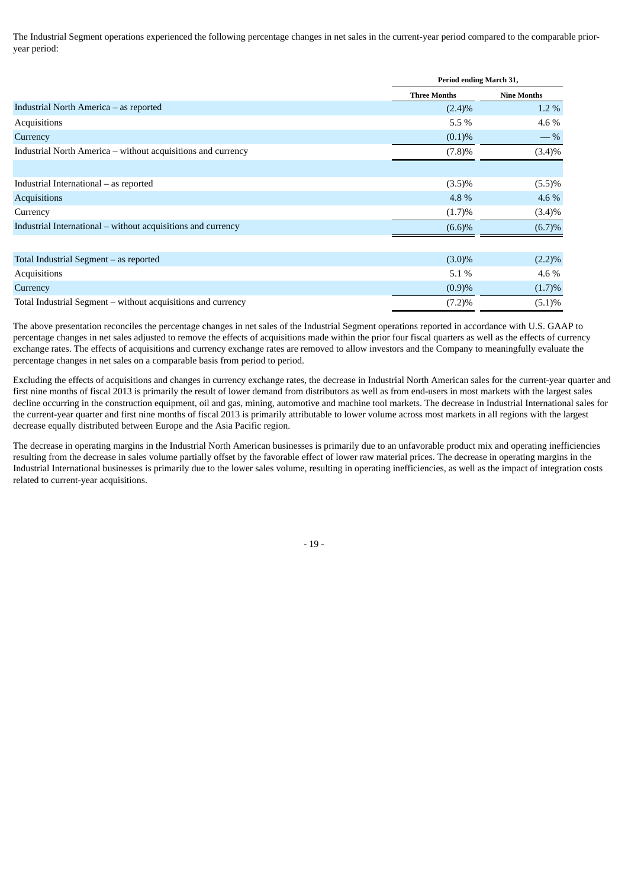The Industrial Segment operations experienced the following percentage changes in net sales in the current-year period compared to the comparable prioryear period:

|                                                              | Period ending March 31, |                    |
|--------------------------------------------------------------|-------------------------|--------------------|
|                                                              | <b>Three Months</b>     | <b>Nine Months</b> |
| Industrial North America – as reported                       | $(2.4)\%$               | 1.2%               |
| Acquisitions                                                 | 5.5%                    | 4.6%               |
| Currency                                                     | (0.1)%                  | $-$ %              |
| Industrial North America – without acquisitions and currency | (7.8)%                  | $(3.4)\%$          |
|                                                              |                         |                    |
| Industrial International – as reported                       | $(3.5)\%$               | $(5.5)\%$          |
| <b>Acquisitions</b>                                          | 4.8%                    | 4.6 %              |
| Currency                                                     | (1.7)%                  | $(3.4)\%$          |
| Industrial International – without acquisitions and currency | (6.6)%                  | (6.7)%             |
|                                                              |                         |                    |
| Total Industrial Segment – as reported                       | $(3.0)\%$               | $(2.2)\%$          |
| Acquisitions                                                 | 5.1%                    | 4.6%               |
| Currency                                                     | (0.9)%                  | $(1.7)\%$          |
| Total Industrial Segment – without acquisitions and currency | (7.2)%                  | (5.1)%             |

The above presentation reconciles the percentage changes in net sales of the Industrial Segment operations reported in accordance with U.S. GAAP to percentage changes in net sales adjusted to remove the effects of acquisitions made within the prior four fiscal quarters as well as the effects of currency exchange rates. The effects of acquisitions and currency exchange rates are removed to allow investors and the Company to meaningfully evaluate the percentage changes in net sales on a comparable basis from period to period.

Excluding the effects of acquisitions and changes in currency exchange rates, the decrease in Industrial North American sales for the current-year quarter and first nine months of fiscal 2013 is primarily the result of lower demand from distributors as well as from end-users in most markets with the largest sales decline occurring in the construction equipment, oil and gas, mining, automotive and machine tool markets. The decrease in Industrial International sales for the current-year quarter and first nine months of fiscal 2013 is primarily attributable to lower volume across most markets in all regions with the largest decrease equally distributed between Europe and the Asia Pacific region.

The decrease in operating margins in the Industrial North American businesses is primarily due to an unfavorable product mix and operating inefficiencies resulting from the decrease in sales volume partially offset by the favorable effect of lower raw material prices. The decrease in operating margins in the Industrial International businesses is primarily due to the lower sales volume, resulting in operating inefficiencies, as well as the impact of integration costs related to current-year acquisitions.

- 19 -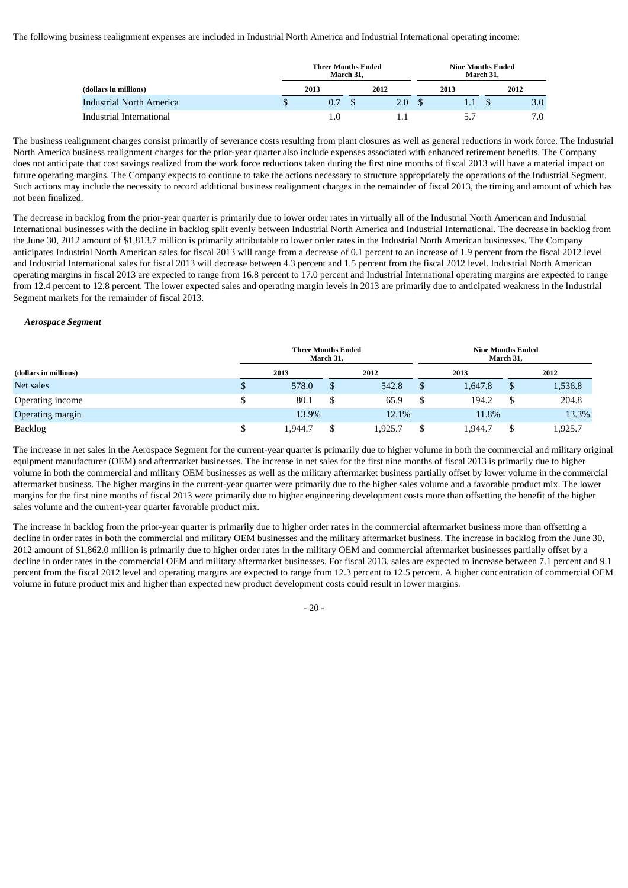The following business realignment expenses are included in Industrial North America and Industrial International operating income:

|                          | <b>Three Months Ended</b><br>March 31. |  | <b>Nine Months Ended</b><br>March 31. |  |        |  |      |
|--------------------------|----------------------------------------|--|---------------------------------------|--|--------|--|------|
| (dollars in millions)    | 2013                                   |  | 2012                                  |  | 2013   |  | 2012 |
| Industrial North America | 0.7                                    |  | 2.0                                   |  |        |  | 3.0  |
| Industrial International | 1.0                                    |  |                                       |  | $-5.7$ |  | 7.0  |

The business realignment charges consist primarily of severance costs resulting from plant closures as well as general reductions in work force. The Industrial North America business realignment charges for the prior-year quarter also include expenses associated with enhanced retirement benefits. The Company does not anticipate that cost savings realized from the work force reductions taken during the first nine months of fiscal 2013 will have a material impact on future operating margins. The Company expects to continue to take the actions necessary to structure appropriately the operations of the Industrial Segment. Such actions may include the necessity to record additional business realignment charges in the remainder of fiscal 2013, the timing and amount of which has not been finalized.

The decrease in backlog from the prior-year quarter is primarily due to lower order rates in virtually all of the Industrial North American and Industrial International businesses with the decline in backlog split evenly between Industrial North America and Industrial International. The decrease in backlog from the June 30, 2012 amount of \$1,813.7 million is primarily attributable to lower order rates in the Industrial North American businesses. The Company anticipates Industrial North American sales for fiscal 2013 will range from a decrease of 0.1 percent to an increase of 1.9 percent from the fiscal 2012 level and Industrial International sales for fiscal 2013 will decrease between 4.3 percent and 1.5 percent from the fiscal 2012 level. Industrial North American operating margins in fiscal 2013 are expected to range from 16.8 percent to 17.0 percent and Industrial International operating margins are expected to range from 12.4 percent to 12.8 percent. The lower expected sales and operating margin levels in 2013 are primarily due to anticipated weakness in the Industrial Segment markets for the remainder of fiscal 2013.

#### *Aerospace Segment*

|                       |   | <b>Three Months Ended</b> | March 31, |         |               | <b>Nine Months Ended</b><br>March 31, |         |  |
|-----------------------|---|---------------------------|-----------|---------|---------------|---------------------------------------|---------|--|
| (dollars in millions) |   | 2013                      |           | 2012    | 2013          |                                       | 2012    |  |
| Net sales             | w | 578.0                     |           | 542.8   | \$<br>1,647.8 | \$                                    | 1,536.8 |  |
| Operating income      | ω | 80.1                      |           | 65.9    | 194.2         | \$                                    | 204.8   |  |
| Operating margin      |   | 13.9%                     |           | 12.1%   | 11.8%         |                                       | 13.3%   |  |
| <b>Backlog</b>        |   | 1,944.7                   |           | 1,925.7 | 1,944.7       | S                                     | 1,925.7 |  |

The increase in net sales in the Aerospace Segment for the current-year quarter is primarily due to higher volume in both the commercial and military original equipment manufacturer (OEM) and aftermarket businesses. The increase in net sales for the first nine months of fiscal 2013 is primarily due to higher volume in both the commercial and military OEM businesses as well as the military aftermarket business partially offset by lower volume in the commercial aftermarket business. The higher margins in the current-year quarter were primarily due to the higher sales volume and a favorable product mix. The lower margins for the first nine months of fiscal 2013 were primarily due to higher engineering development costs more than offsetting the benefit of the higher sales volume and the current-year quarter favorable product mix.

The increase in backlog from the prior-year quarter is primarily due to higher order rates in the commercial aftermarket business more than offsetting a decline in order rates in both the commercial and military OEM businesses and the military aftermarket business. The increase in backlog from the June 30, 2012 amount of \$1,862.0 million is primarily due to higher order rates in the military OEM and commercial aftermarket businesses partially offset by a decline in order rates in the commercial OEM and military aftermarket businesses. For fiscal 2013, sales are expected to increase between 7.1 percent and 9.1 percent from the fiscal 2012 level and operating margins are expected to range from 12.3 percent to 12.5 percent. A higher concentration of commercial OEM volume in future product mix and higher than expected new product development costs could result in lower margins.

 $-20 -$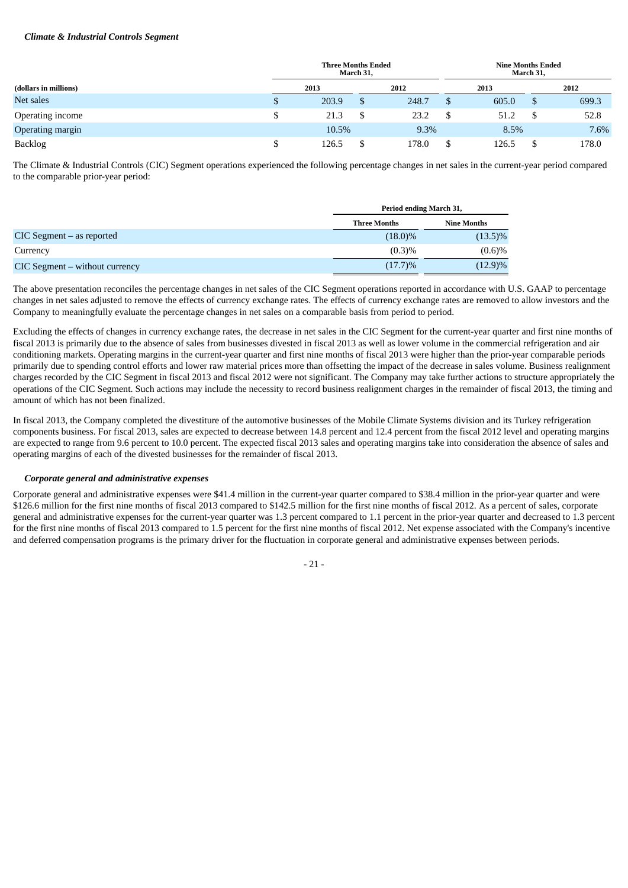#### *Climate & Industrial Controls Segment*

|                       | <b>Three Months Ended</b><br>March 31, |       |    |       | <b>Nine Months Ended</b><br>March 31, |       |  |       |  |
|-----------------------|----------------------------------------|-------|----|-------|---------------------------------------|-------|--|-------|--|
| (dollars in millions) |                                        | 2013  |    | 2012  |                                       | 2013  |  | 2012  |  |
| Net sales             | D                                      | 203.9 | \$ | 248.7 | S                                     | 605.0 |  | 699.3 |  |
| Operating income      | Φ                                      | 21.3  |    | 23.2  | S                                     | 51.2  |  | 52.8  |  |
| Operating margin      |                                        | 10.5% |    | 9.3%  |                                       | 8.5%  |  | 7.6%  |  |
| <b>Backlog</b>        | ╜                                      | 126.5 |    | 178.0 | \$                                    | 126.5 |  | 178.0 |  |

The Climate & Industrial Controls (CIC) Segment operations experienced the following percentage changes in net sales in the current-year period compared to the comparable prior-year period:

|                                    | Period ending March 31, |                    |  |  |  |
|------------------------------------|-------------------------|--------------------|--|--|--|
|                                    | <b>Three Months</b>     | <b>Nine Months</b> |  |  |  |
| $CIC$ Segment $-$ as reported      | $(18.0)\%$              | $(13.5)\%$         |  |  |  |
| Currency                           | (0.3)%                  | $(0.6)\%$          |  |  |  |
| $CIC$ Segment $-$ without currency | $(17.7)\%$              | (12.9)%            |  |  |  |

The above presentation reconciles the percentage changes in net sales of the CIC Segment operations reported in accordance with U.S. GAAP to percentage changes in net sales adjusted to remove the effects of currency exchange rates. The effects of currency exchange rates are removed to allow investors and the Company to meaningfully evaluate the percentage changes in net sales on a comparable basis from period to period.

Excluding the effects of changes in currency exchange rates, the decrease in net sales in the CIC Segment for the current-year quarter and first nine months of fiscal 2013 is primarily due to the absence of sales from businesses divested in fiscal 2013 as well as lower volume in the commercial refrigeration and air conditioning markets. Operating margins in the current-year quarter and first nine months of fiscal 2013 were higher than the prior-year comparable periods primarily due to spending control efforts and lower raw material prices more than offsetting the impact of the decrease in sales volume. Business realignment charges recorded by the CIC Segment in fiscal 2013 and fiscal 2012 were not significant. The Company may take further actions to structure appropriately the operations of the CIC Segment. Such actions may include the necessity to record business realignment charges in the remainder of fiscal 2013, the timing and amount of which has not been finalized.

In fiscal 2013, the Company completed the divestiture of the automotive businesses of the Mobile Climate Systems division and its Turkey refrigeration components business. For fiscal 2013, sales are expected to decrease between 14.8 percent and 12.4 percent from the fiscal 2012 level and operating margins are expected to range from 9.6 percent to 10.0 percent. The expected fiscal 2013 sales and operating margins take into consideration the absence of sales and operating margins of each of the divested businesses for the remainder of fiscal 2013.

### *Corporate general and administrative expenses*

Corporate general and administrative expenses were \$41.4 million in the current-year quarter compared to \$38.4 million in the prior-year quarter and were \$126.6 million for the first nine months of fiscal 2013 compared to \$142.5 million for the first nine months of fiscal 2012. As a percent of sales, corporate general and administrative expenses for the current-year quarter was 1.3 percent compared to 1.1 percent in the prior-year quarter and decreased to 1.3 percent for the first nine months of fiscal 2013 compared to 1.5 percent for the first nine months of fiscal 2012. Net expense associated with the Company's incentive and deferred compensation programs is the primary driver for the fluctuation in corporate general and administrative expenses between periods.

 $-21 -$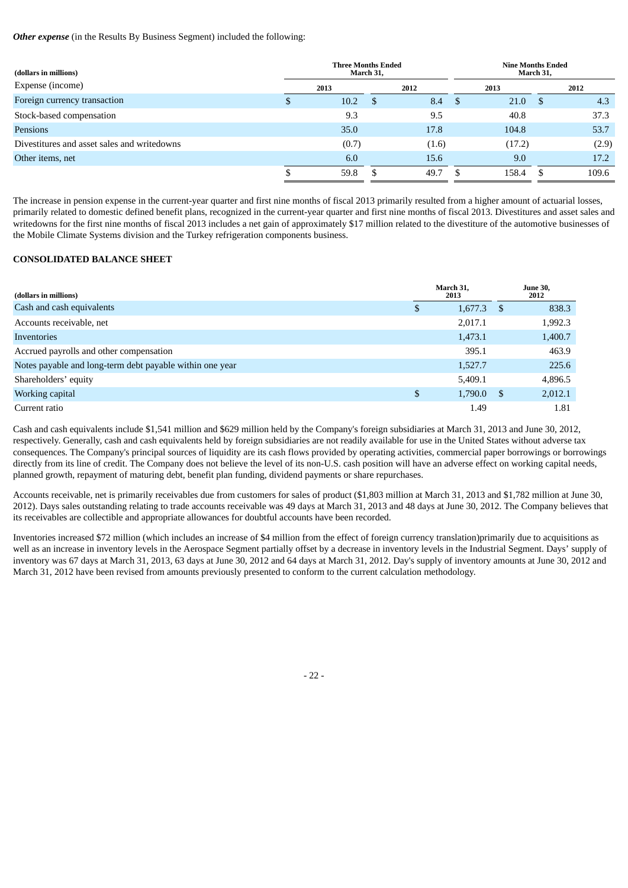*Other expense* (in the Results By Business Segment) included the following:

| (dollars in millions)                       | <b>Three Months Ended</b><br>March 31, |  |       | <b>Nine Months Ended</b><br>March 31, |        |  |       |
|---------------------------------------------|----------------------------------------|--|-------|---------------------------------------|--------|--|-------|
| Expense (income)                            | 2013                                   |  | 2012  |                                       | 2013   |  | 2012  |
| Foreign currency transaction                | 10.2                                   |  | 8.4   |                                       | 21.0   |  | 4.3   |
| Stock-based compensation                    | 9.3                                    |  | 9.5   |                                       | 40.8   |  | 37.3  |
| <b>Pensions</b>                             | 35.0                                   |  | 17.8  |                                       | 104.8  |  | 53.7  |
| Divestitures and asset sales and writedowns | (0.7)                                  |  | (1.6) |                                       | (17.2) |  | (2.9) |
| Other items, net                            | 6.0                                    |  | 15.6  |                                       | 9.0    |  | 17.2  |
|                                             | 59.8                                   |  | 49.7  |                                       | 158.4  |  | 109.6 |

The increase in pension expense in the current-year quarter and first nine months of fiscal 2013 primarily resulted from a higher amount of actuarial losses, primarily related to domestic defined benefit plans, recognized in the current-year quarter and first nine months of fiscal 2013. Divestitures and asset sales and writedowns for the first nine months of fiscal 2013 includes a net gain of approximately \$17 million related to the divestiture of the automotive businesses of the Mobile Climate Systems division and the Turkey refrigeration components business.

### **CONSOLIDATED BALANCE SHEET**

| (dollars in millions)                                    |    | March 31,<br>2013 |          | <b>June 30,</b><br>2012 |
|----------------------------------------------------------|----|-------------------|----------|-------------------------|
| Cash and cash equivalents                                | Œ  | 1,677.3           | <b>S</b> | 838.3                   |
| Accounts receivable, net                                 |    | 2,017.1           |          | 1,992.3                 |
| Inventories                                              |    | 1,473.1           |          | 1,400.7                 |
| Accrued payrolls and other compensation                  |    | 395.1             |          | 463.9                   |
| Notes payable and long-term debt payable within one year |    | 1,527.7           |          | 225.6                   |
| Shareholders' equity                                     |    | 5,409.1           |          | 4,896.5                 |
| Working capital                                          | \$ | 1,790.0           | - S      | 2,012.1                 |
| Current ratio                                            |    | 1.49              |          | 1.81                    |

Cash and cash equivalents include \$1,541 million and \$629 million held by the Company's foreign subsidiaries at March 31, 2013 and June 30, 2012, respectively. Generally, cash and cash equivalents held by foreign subsidiaries are not readily available for use in the United States without adverse tax consequences. The Company's principal sources of liquidity are its cash flows provided by operating activities, commercial paper borrowings or borrowings directly from its line of credit. The Company does not believe the level of its non-U.S. cash position will have an adverse effect on working capital needs, planned growth, repayment of maturing debt, benefit plan funding, dividend payments or share repurchases.

Accounts receivable, net is primarily receivables due from customers for sales of product (\$1,803 million at March 31, 2013 and \$1,782 million at June 30, 2012). Days sales outstanding relating to trade accounts receivable was 49 days at March 31, 2013 and 48 days at June 30, 2012. The Company believes that its receivables are collectible and appropriate allowances for doubtful accounts have been recorded.

Inventories increased \$72 million (which includes an increase of \$4 million from the effect of foreign currency translation)primarily due to acquisitions as well as an increase in inventory levels in the Aerospace Segment partially offset by a decrease in inventory levels in the Industrial Segment. Days' supply of inventory was 67 days at March 31, 2013, 63 days at June 30, 2012 and 64 days at March 31, 2012. Day's supply of inventory amounts at June 30, 2012 and March 31, 2012 have been revised from amounts previously presented to conform to the current calculation methodology.

- 22 -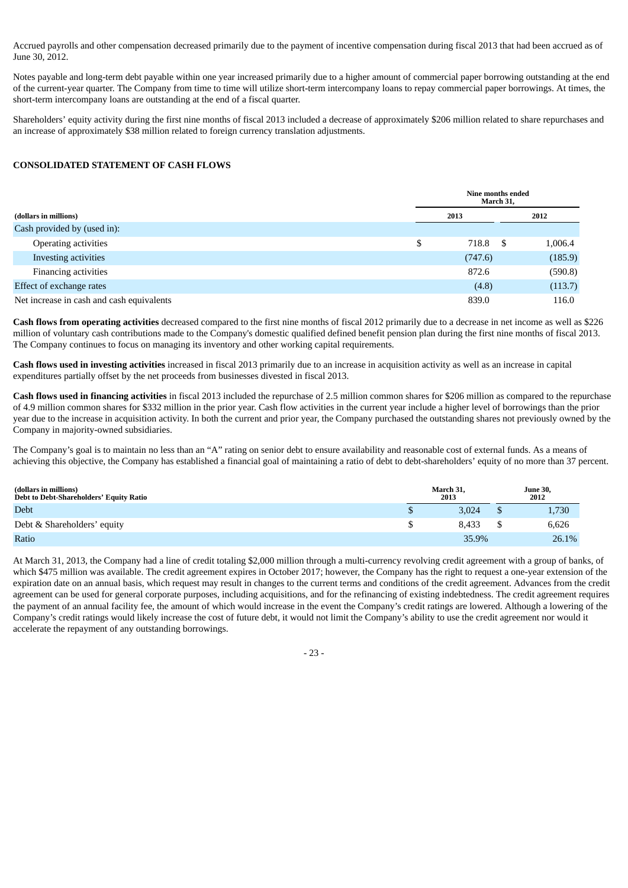Accrued payrolls and other compensation decreased primarily due to the payment of incentive compensation during fiscal 2013 that had been accrued as of June 30, 2012.

Notes payable and long-term debt payable within one year increased primarily due to a higher amount of commercial paper borrowing outstanding at the end of the current-year quarter. The Company from time to time will utilize short-term intercompany loans to repay commercial paper borrowings. At times, the short-term intercompany loans are outstanding at the end of a fiscal quarter.

Shareholders' equity activity during the first nine months of fiscal 2013 included a decrease of approximately \$206 million related to share repurchases and an increase of approximately \$38 million related to foreign currency translation adjustments.

#### **CONSOLIDATED STATEMENT OF CASH FLOWS**

|                                           | Nine months ended<br>March 31, |      |         |
|-------------------------------------------|--------------------------------|------|---------|
| (dollars in millions)                     | 2013                           |      | 2012    |
| Cash provided by (used in):               |                                |      |         |
| Operating activities                      | \$<br>718.8                    | - \$ | 1,006.4 |
| Investing activities                      | (747.6)                        |      | (185.9) |
| <b>Financing activities</b>               | 872.6                          |      | (590.8) |
| Effect of exchange rates                  | (4.8)                          |      | (113.7) |
| Net increase in cash and cash equivalents | 839.0                          |      | 116.0   |

**Cash flows from operating activities** decreased compared to the first nine months of fiscal 2012 primarily due to a decrease in net income as well as \$226 million of voluntary cash contributions made to the Company's domestic qualified defined benefit pension plan during the first nine months of fiscal 2013. The Company continues to focus on managing its inventory and other working capital requirements.

**Cash flows used in investing activities** increased in fiscal 2013 primarily due to an increase in acquisition activity as well as an increase in capital expenditures partially offset by the net proceeds from businesses divested in fiscal 2013.

**Cash flows used in financing activities** in fiscal 2013 included the repurchase of 2.5 million common shares for \$206 million as compared to the repurchase of 4.9 million common shares for \$332 million in the prior year. Cash flow activities in the current year include a higher level of borrowings than the prior year due to the increase in acquisition activity. In both the current and prior year, the Company purchased the outstanding shares not previously owned by the Company in majority-owned subsidiaries.

The Company's goal is to maintain no less than an "A" rating on senior debt to ensure availability and reasonable cost of external funds. As a means of achieving this objective, the Company has established a financial goal of maintaining a ratio of debt to debt-shareholders' equity of no more than 37 percent.

| (dollars in millions)<br>Debt to Debt-Shareholders' Equity Ratio | March 31,<br>2013 | <b>June 30,</b><br>2012 |       |  |
|------------------------------------------------------------------|-------------------|-------------------------|-------|--|
| <b>Debt</b>                                                      | 3.024             |                         | 1,730 |  |
| Debt & Shareholders' equity                                      | 8.433             |                         | 6,626 |  |
| Ratio                                                            | 35.9%             |                         | 26.1% |  |

At March 31, 2013, the Company had a line of credit totaling \$2,000 million through a multi-currency revolving credit agreement with a group of banks, of which \$475 million was available. The credit agreement expires in October 2017; however, the Company has the right to request a one-year extension of the expiration date on an annual basis, which request may result in changes to the current terms and conditions of the credit agreement. Advances from the credit agreement can be used for general corporate purposes, including acquisitions, and for the refinancing of existing indebtedness. The credit agreement requires the payment of an annual facility fee, the amount of which would increase in the event the Company's credit ratings are lowered. Although a lowering of the Company's credit ratings would likely increase the cost of future debt, it would not limit the Company's ability to use the credit agreement nor would it accelerate the repayment of any outstanding borrowings.

- 23 -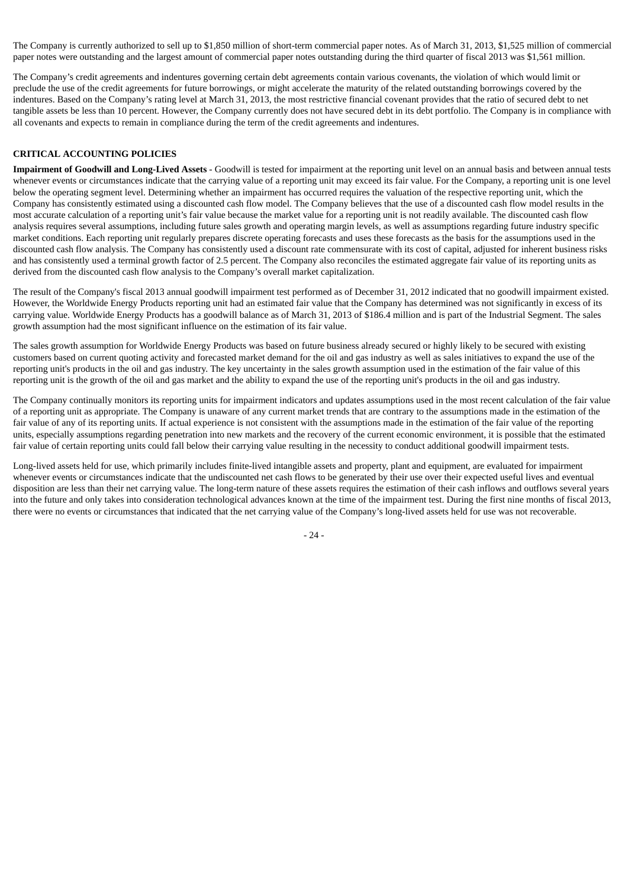The Company is currently authorized to sell up to \$1,850 million of short-term commercial paper notes. As of March 31, 2013, \$1,525 million of commercial paper notes were outstanding and the largest amount of commercial paper notes outstanding during the third quarter of fiscal 2013 was \$1,561 million.

The Company's credit agreements and indentures governing certain debt agreements contain various covenants, the violation of which would limit or preclude the use of the credit agreements for future borrowings, or might accelerate the maturity of the related outstanding borrowings covered by the indentures. Based on the Company's rating level at March 31, 2013, the most restrictive financial covenant provides that the ratio of secured debt to net tangible assets be less than 10 percent. However, the Company currently does not have secured debt in its debt portfolio. The Company is in compliance with all covenants and expects to remain in compliance during the term of the credit agreements and indentures.

#### **CRITICAL ACCOUNTING POLICIES**

**Impairment of Goodwill and Long-Lived Assets** - Goodwill is tested for impairment at the reporting unit level on an annual basis and between annual tests whenever events or circumstances indicate that the carrying value of a reporting unit may exceed its fair value. For the Company, a reporting unit is one level below the operating segment level. Determining whether an impairment has occurred requires the valuation of the respective reporting unit, which the Company has consistently estimated using a discounted cash flow model. The Company believes that the use of a discounted cash flow model results in the most accurate calculation of a reporting unit's fair value because the market value for a reporting unit is not readily available. The discounted cash flow analysis requires several assumptions, including future sales growth and operating margin levels, as well as assumptions regarding future industry specific market conditions. Each reporting unit regularly prepares discrete operating forecasts and uses these forecasts as the basis for the assumptions used in the discounted cash flow analysis. The Company has consistently used a discount rate commensurate with its cost of capital, adjusted for inherent business risks and has consistently used a terminal growth factor of 2.5 percent. The Company also reconciles the estimated aggregate fair value of its reporting units as derived from the discounted cash flow analysis to the Company's overall market capitalization.

The result of the Company's fiscal 2013 annual goodwill impairment test performed as of December 31, 2012 indicated that no goodwill impairment existed. However, the Worldwide Energy Products reporting unit had an estimated fair value that the Company has determined was not significantly in excess of its carrying value. Worldwide Energy Products has a goodwill balance as of March 31, 2013 of \$186.4 million and is part of the Industrial Segment. The sales growth assumption had the most significant influence on the estimation of its fair value.

The sales growth assumption for Worldwide Energy Products was based on future business already secured or highly likely to be secured with existing customers based on current quoting activity and forecasted market demand for the oil and gas industry as well as sales initiatives to expand the use of the reporting unit's products in the oil and gas industry. The key uncertainty in the sales growth assumption used in the estimation of the fair value of this reporting unit is the growth of the oil and gas market and the ability to expand the use of the reporting unit's products in the oil and gas industry.

The Company continually monitors its reporting units for impairment indicators and updates assumptions used in the most recent calculation of the fair value of a reporting unit as appropriate. The Company is unaware of any current market trends that are contrary to the assumptions made in the estimation of the fair value of any of its reporting units. If actual experience is not consistent with the assumptions made in the estimation of the fair value of the reporting units, especially assumptions regarding penetration into new markets and the recovery of the current economic environment, it is possible that the estimated fair value of certain reporting units could fall below their carrying value resulting in the necessity to conduct additional goodwill impairment tests.

Long-lived assets held for use, which primarily includes finite-lived intangible assets and property, plant and equipment, are evaluated for impairment whenever events or circumstances indicate that the undiscounted net cash flows to be generated by their use over their expected useful lives and eventual disposition are less than their net carrying value. The long-term nature of these assets requires the estimation of their cash inflows and outflows several years into the future and only takes into consideration technological advances known at the time of the impairment test. During the first nine months of fiscal 2013, there were no events or circumstances that indicated that the net carrying value of the Company's long-lived assets held for use was not recoverable.

- 24 -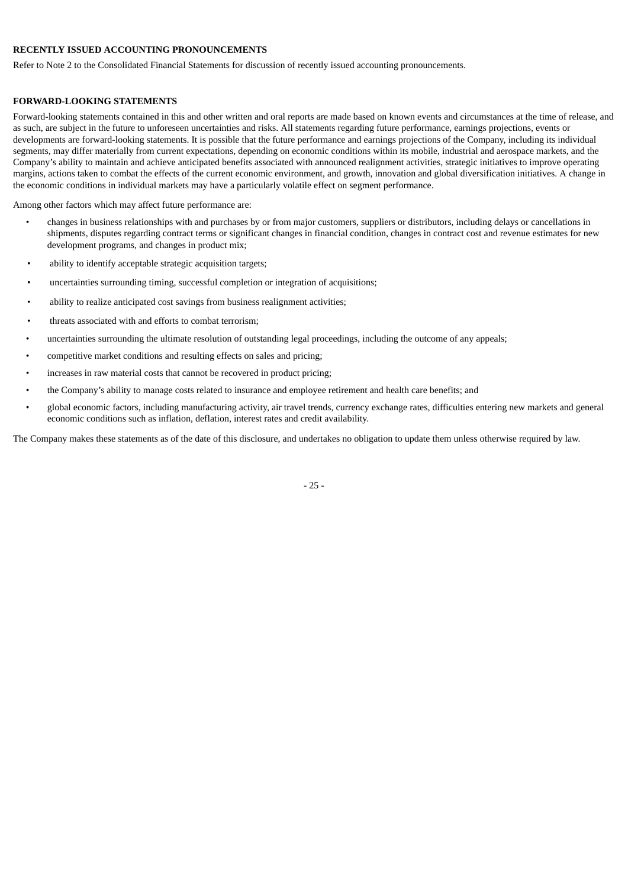#### **RECENTLY ISSUED ACCOUNTING PRONOUNCEMENTS**

Refer to Note 2 to the Consolidated Financial Statements for discussion of recently issued accounting pronouncements.

#### **FORWARD-LOOKING STATEMENTS**

Forward-looking statements contained in this and other written and oral reports are made based on known events and circumstances at the time of release, and as such, are subject in the future to unforeseen uncertainties and risks. All statements regarding future performance, earnings projections, events or developments are forward-looking statements. It is possible that the future performance and earnings projections of the Company, including its individual segments, may differ materially from current expectations, depending on economic conditions within its mobile, industrial and aerospace markets, and the Company's ability to maintain and achieve anticipated benefits associated with announced realignment activities, strategic initiatives to improve operating margins, actions taken to combat the effects of the current economic environment, and growth, innovation and global diversification initiatives. A change in the economic conditions in individual markets may have a particularly volatile effect on segment performance.

Among other factors which may affect future performance are:

- changes in business relationships with and purchases by or from major customers, suppliers or distributors, including delays or cancellations in shipments, disputes regarding contract terms or significant changes in financial condition, changes in contract cost and revenue estimates for new development programs, and changes in product mix;
- ability to identify acceptable strategic acquisition targets;
- uncertainties surrounding timing, successful completion or integration of acquisitions;
- ability to realize anticipated cost savings from business realignment activities;
- threats associated with and efforts to combat terrorism;
- uncertainties surrounding the ultimate resolution of outstanding legal proceedings, including the outcome of any appeals;
- competitive market conditions and resulting effects on sales and pricing;
- increases in raw material costs that cannot be recovered in product pricing;
- the Company's ability to manage costs related to insurance and employee retirement and health care benefits; and
- global economic factors, including manufacturing activity, air travel trends, currency exchange rates, difficulties entering new markets and general economic conditions such as inflation, deflation, interest rates and credit availability.

The Company makes these statements as of the date of this disclosure, and undertakes no obligation to update them unless otherwise required by law.

- 25 -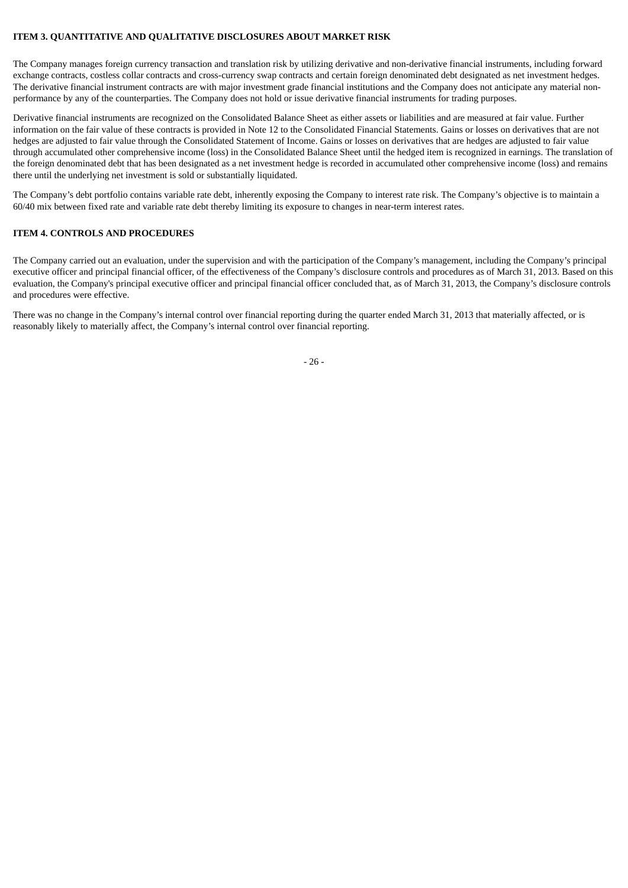#### **ITEM 3. QUANTITATIVE AND QUALITATIVE DISCLOSURES ABOUT MARKET RISK**

The Company manages foreign currency transaction and translation risk by utilizing derivative and non-derivative financial instruments, including forward exchange contracts, costless collar contracts and cross-currency swap contracts and certain foreign denominated debt designated as net investment hedges. The derivative financial instrument contracts are with major investment grade financial institutions and the Company does not anticipate any material nonperformance by any of the counterparties. The Company does not hold or issue derivative financial instruments for trading purposes.

Derivative financial instruments are recognized on the Consolidated Balance Sheet as either assets or liabilities and are measured at fair value. Further information on the fair value of these contracts is provided in Note 12 to the Consolidated Financial Statements. Gains or losses on derivatives that are not hedges are adjusted to fair value through the Consolidated Statement of Income. Gains or losses on derivatives that are hedges are adjusted to fair value through accumulated other comprehensive income (loss) in the Consolidated Balance Sheet until the hedged item is recognized in earnings. The translation of the foreign denominated debt that has been designated as a net investment hedge is recorded in accumulated other comprehensive income (loss) and remains there until the underlying net investment is sold or substantially liquidated.

The Company's debt portfolio contains variable rate debt, inherently exposing the Company to interest rate risk. The Company's objective is to maintain a 60/40 mix between fixed rate and variable rate debt thereby limiting its exposure to changes in near-term interest rates.

#### **ITEM 4. CONTROLS AND PROCEDURES**

The Company carried out an evaluation, under the supervision and with the participation of the Company's management, including the Company's principal executive officer and principal financial officer, of the effectiveness of the Company's disclosure controls and procedures as of March 31, 2013. Based on this evaluation, the Company's principal executive officer and principal financial officer concluded that, as of March 31, 2013, the Company's disclosure controls and procedures were effective.

There was no change in the Company's internal control over financial reporting during the quarter ended March 31, 2013 that materially affected, or is reasonably likely to materially affect, the Company's internal control over financial reporting.

- 26 -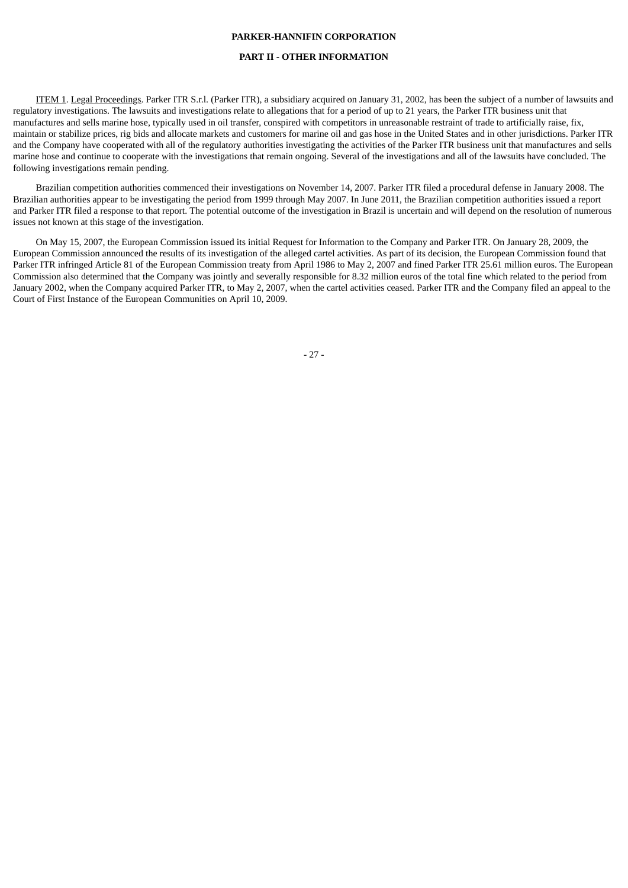#### **PART II - OTHER INFORMATION**

ITEM 1. Legal Proceedings. Parker ITR S.r.l. (Parker ITR), a subsidiary acquired on January 31, 2002, has been the subject of a number of lawsuits and regulatory investigations. The lawsuits and investigations relate to allegations that for a period of up to 21 years, the Parker ITR business unit that manufactures and sells marine hose, typically used in oil transfer, conspired with competitors in unreasonable restraint of trade to artificially raise, fix, maintain or stabilize prices, rig bids and allocate markets and customers for marine oil and gas hose in the United States and in other jurisdictions. Parker ITR and the Company have cooperated with all of the regulatory authorities investigating the activities of the Parker ITR business unit that manufactures and sells marine hose and continue to cooperate with the investigations that remain ongoing. Several of the investigations and all of the lawsuits have concluded. The following investigations remain pending.

Brazilian competition authorities commenced their investigations on November 14, 2007. Parker ITR filed a procedural defense in January 2008. The Brazilian authorities appear to be investigating the period from 1999 through May 2007. In June 2011, the Brazilian competition authorities issued a report and Parker ITR filed a response to that report. The potential outcome of the investigation in Brazil is uncertain and will depend on the resolution of numerous issues not known at this stage of the investigation.

On May 15, 2007, the European Commission issued its initial Request for Information to the Company and Parker ITR. On January 28, 2009, the European Commission announced the results of its investigation of the alleged cartel activities. As part of its decision, the European Commission found that Parker ITR infringed Article 81 of the European Commission treaty from April 1986 to May 2, 2007 and fined Parker ITR 25.61 million euros. The European Commission also determined that the Company was jointly and severally responsible for 8.32 million euros of the total fine which related to the period from January 2002, when the Company acquired Parker ITR, to May 2, 2007, when the cartel activities ceased. Parker ITR and the Company filed an appeal to the Court of First Instance of the European Communities on April 10, 2009.

- 27 -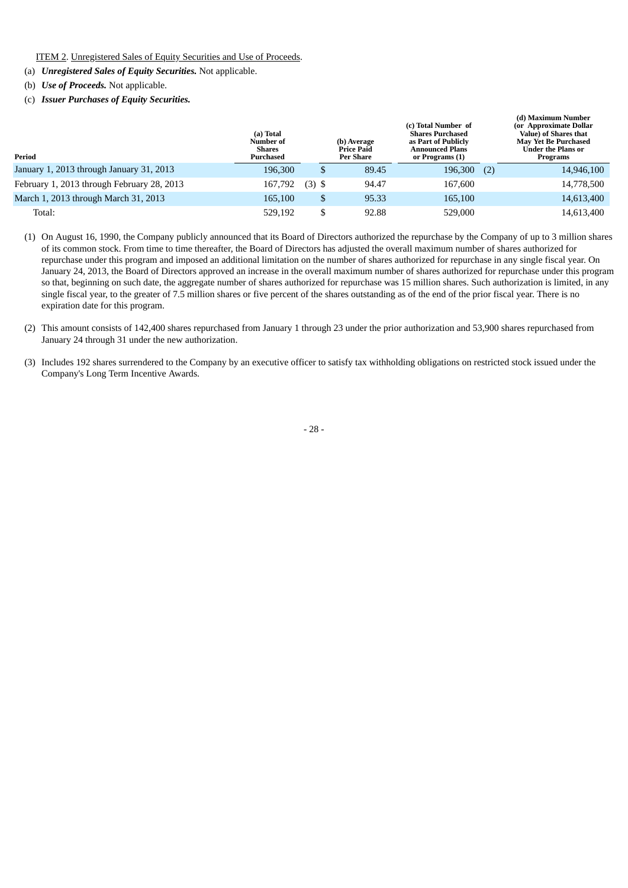#### ITEM 2. Unregistered Sales of Equity Securities and Use of Proceeds.

- (a) *Unregistered Sales of Equity Securities.* Not applicable.
- (b) *Use of Proceeds.* Not applicable.
- (c) *Issuer Purchases of Equity Securities.*

| (a) Total<br>Number of<br><b>Shares</b><br>Purchased |          | (b) Average<br><b>Price Paid</b><br><b>Per Share</b> | (c) Total Number of<br><b>Shares Purchased</b><br>as Part of Publicly<br><b>Announced Plans</b><br>or Programs (1) | (d) Maximum Number<br>(or Approximate Dollar<br><b>Value) of Shares that</b><br><b>May Yet Be Purchased</b><br>Under the Plans or<br>Programs |  |  |  |
|------------------------------------------------------|----------|------------------------------------------------------|--------------------------------------------------------------------------------------------------------------------|-----------------------------------------------------------------------------------------------------------------------------------------------|--|--|--|
| 196,300                                              | \$       | 89.45                                                | 196,300<br>(2)                                                                                                     | 14,946,100                                                                                                                                    |  |  |  |
| 167,792                                              | $(3)$ \$ | 94.47                                                | 167,600                                                                                                            | 14,778,500                                                                                                                                    |  |  |  |
| 165.100                                              | \$       | 95.33                                                | 165,100                                                                                                            | 14,613,400                                                                                                                                    |  |  |  |
| 529,192                                              | \$       | 92.88                                                | 529,000                                                                                                            | 14,613,400                                                                                                                                    |  |  |  |
|                                                      |          |                                                      |                                                                                                                    |                                                                                                                                               |  |  |  |

- (1) On August 16, 1990, the Company publicly announced that its Board of Directors authorized the repurchase by the Company of up to 3 million shares of its common stock. From time to time thereafter, the Board of Directors has adjusted the overall maximum number of shares authorized for repurchase under this program and imposed an additional limitation on the number of shares authorized for repurchase in any single fiscal year. On January 24, 2013, the Board of Directors approved an increase in the overall maximum number of shares authorized for repurchase under this program so that, beginning on such date, the aggregate number of shares authorized for repurchase was 15 million shares. Such authorization is limited, in any single fiscal year, to the greater of 7.5 million shares or five percent of the shares outstanding as of the end of the prior fiscal year. There is no expiration date for this program.
- (2) This amount consists of 142,400 shares repurchased from January 1 through 23 under the prior authorization and 53,900 shares repurchased from January 24 through 31 under the new authorization.
- (3) Includes 192 shares surrendered to the Company by an executive officer to satisfy tax withholding obligations on restricted stock issued under the Company's Long Term Incentive Awards.

### - 28 -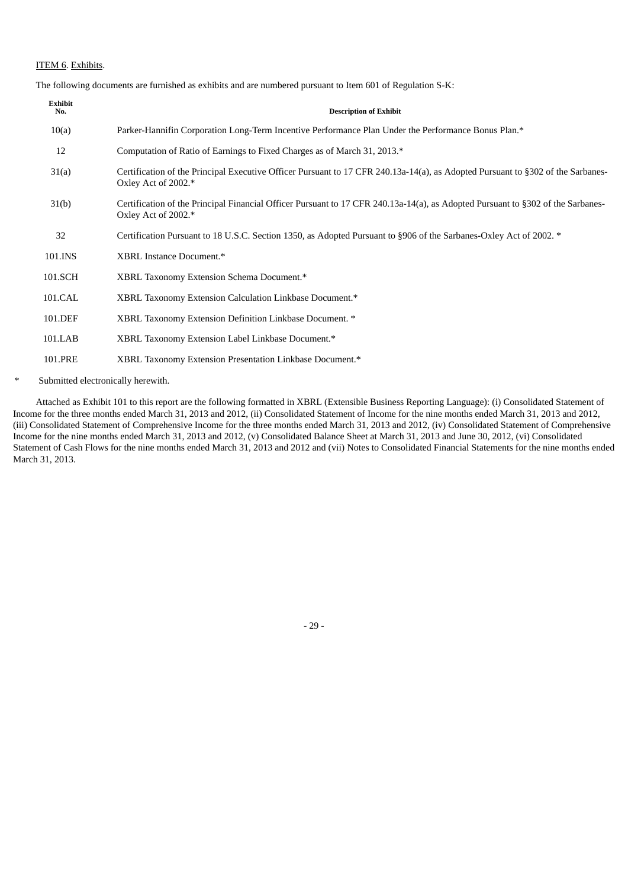## ITEM 6. Exhibits.

The following documents are furnished as exhibits and are numbered pursuant to Item 601 of Regulation S-K:

| <b>Exhibit</b><br>No. | <b>Description of Exhibit</b>                                                                                                                          |
|-----------------------|--------------------------------------------------------------------------------------------------------------------------------------------------------|
| 10(a)                 | Parker-Hannifin Corporation Long-Term Incentive Performance Plan Under the Performance Bonus Plan.*                                                    |
| 12                    | Computation of Ratio of Earnings to Fixed Charges as of March 31, 2013.*                                                                               |
| 31(a)                 | Certification of the Principal Executive Officer Pursuant to 17 CFR 240.13a-14(a), as Adopted Pursuant to §302 of the Sarbanes-<br>Oxley Act of 2002.* |
| 31(b)                 | Certification of the Principal Financial Officer Pursuant to 17 CFR 240.13a-14(a), as Adopted Pursuant to §302 of the Sarbanes-<br>Oxley Act of 2002.* |
| 32                    | Certification Pursuant to 18 U.S.C. Section 1350, as Adopted Pursuant to §906 of the Sarbanes-Oxley Act of 2002. *                                     |
| 101.INS               | XBRL Instance Document.*                                                                                                                               |
| 101.SCH               | XBRL Taxonomy Extension Schema Document.*                                                                                                              |
| 101.CAL               | XBRL Taxonomy Extension Calculation Linkbase Document.*                                                                                                |
| 101.DEF               | XBRL Taxonomy Extension Definition Linkbase Document. *                                                                                                |
| 101.LAB               | XBRL Taxonomy Extension Label Linkbase Document.*                                                                                                      |
| 101.PRE               | XBRL Taxonomy Extension Presentation Linkbase Document.*                                                                                               |
|                       |                                                                                                                                                        |

\* Submitted electronically herewith.

Attached as Exhibit 101 to this report are the following formatted in XBRL (Extensible Business Reporting Language): (i) Consolidated Statement of Income for the three months ended March 31, 2013 and 2012, (ii) Consolidated Statement of Income for the nine months ended March 31, 2013 and 2012, (iii) Consolidated Statement of Comprehensive Income for the three months ended March 31, 2013 and 2012, (iv) Consolidated Statement of Comprehensive Income for the nine months ended March 31, 2013 and 2012, (v) Consolidated Balance Sheet at March 31, 2013 and June 30, 2012, (vi) Consolidated Statement of Cash Flows for the nine months ended March 31, 2013 and 2012 and (vii) Notes to Consolidated Financial Statements for the nine months ended March 31, 2013.

- 29 -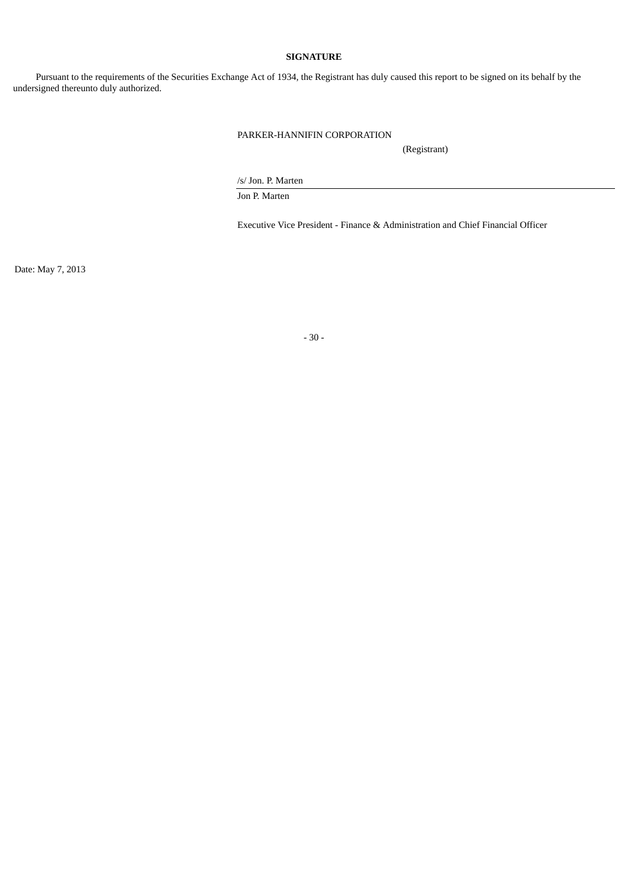#### **SIGNATURE**

Pursuant to the requirements of the Securities Exchange Act of 1934, the Registrant has duly caused this report to be signed on its behalf by the undersigned thereunto duly authorized.

## PARKER-HANNIFIN CORPORATION

(Registrant)

/s/ Jon. P. Marten

Jon P. Marten

Executive Vice President - Finance & Administration and Chief Financial Officer

Date: May 7, 2013

- 30 -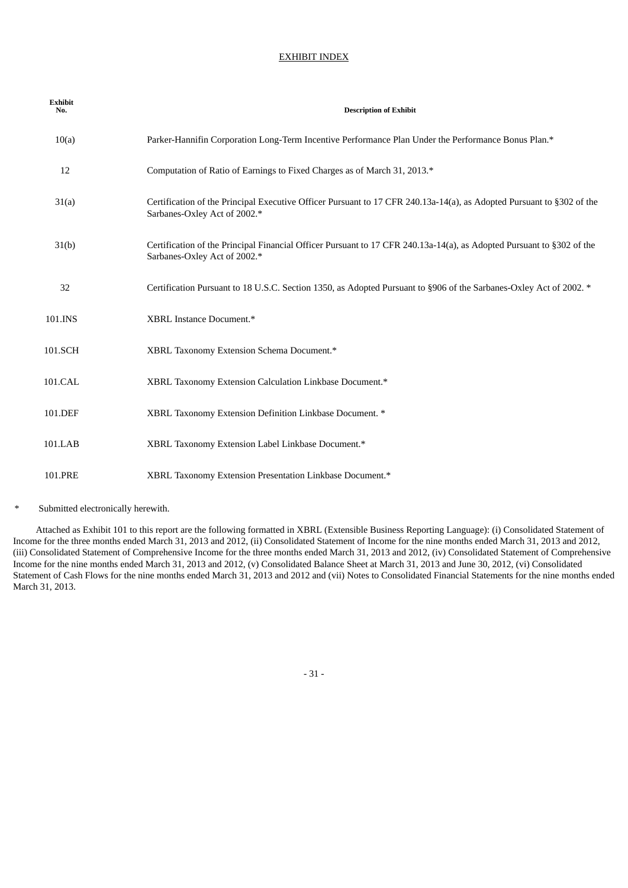#### EXHIBIT INDEX

| <b>Exhibit</b><br>No. | <b>Description of Exhibit</b>                                                                                                                         |
|-----------------------|-------------------------------------------------------------------------------------------------------------------------------------------------------|
| 10(a)                 | Parker-Hannifin Corporation Long-Term Incentive Performance Plan Under the Performance Bonus Plan.*                                                   |
| 12                    | Computation of Ratio of Earnings to Fixed Charges as of March 31, 2013.*                                                                              |
| 31(a)                 | Certification of the Principal Executive Officer Pursuant to 17 CFR 240.13a-14(a), as Adopted Pursuant to §302 of the<br>Sarbanes-Oxley Act of 2002.* |
| 31(b)                 | Certification of the Principal Financial Officer Pursuant to 17 CFR 240.13a-14(a), as Adopted Pursuant to §302 of the<br>Sarbanes-Oxley Act of 2002.* |
| 32                    | Certification Pursuant to 18 U.S.C. Section 1350, as Adopted Pursuant to §906 of the Sarbanes-Oxley Act of 2002. *                                    |
| 101.INS               | XBRL Instance Document.*                                                                                                                              |
| 101.SCH               | XBRL Taxonomy Extension Schema Document.*                                                                                                             |
| 101.CAL               | XBRL Taxonomy Extension Calculation Linkbase Document.*                                                                                               |
| 101.DEF               | XBRL Taxonomy Extension Definition Linkbase Document. *                                                                                               |
| 101.LAB               | XBRL Taxonomy Extension Label Linkbase Document.*                                                                                                     |
| 101.PRE               | XBRL Taxonomy Extension Presentation Linkbase Document.*                                                                                              |

\* Submitted electronically herewith.

Attached as Exhibit 101 to this report are the following formatted in XBRL (Extensible Business Reporting Language): (i) Consolidated Statement of Income for the three months ended March 31, 2013 and 2012, (ii) Consolidated Statement of Income for the nine months ended March 31, 2013 and 2012, (iii) Consolidated Statement of Comprehensive Income for the three months ended March 31, 2013 and 2012, (iv) Consolidated Statement of Comprehensive Income for the nine months ended March 31, 2013 and 2012, (v) Consolidated Balance Sheet at March 31, 2013 and June 30, 2012, (vi) Consolidated Statement of Cash Flows for the nine months ended March 31, 2013 and 2012 and (vii) Notes to Consolidated Financial Statements for the nine months ended March 31, 2013.

- 31 -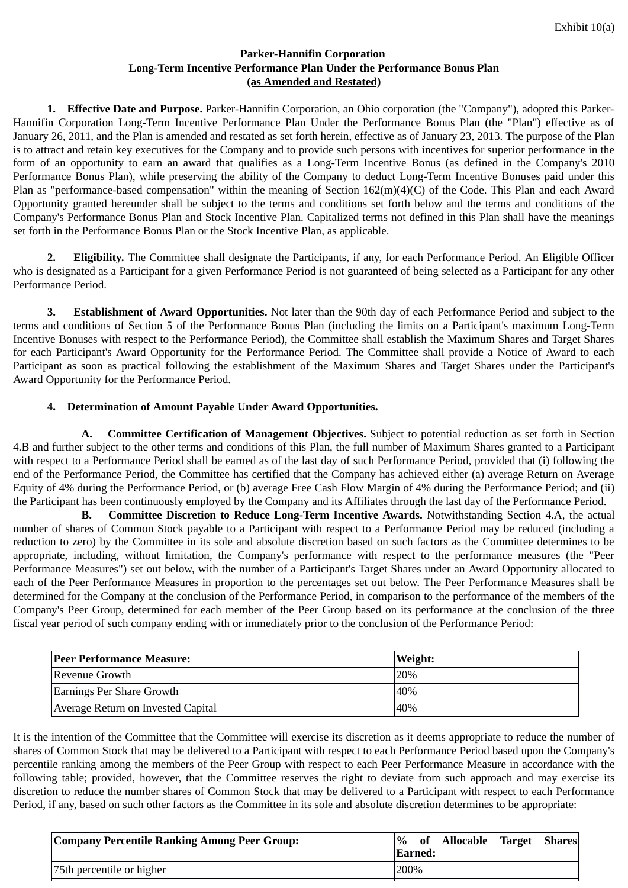## **Parker-Hannifin Corporation Long-Term Incentive Performance Plan Under the Performance Bonus Plan (as Amended and Restated)**

**1. Effective Date and Purpose.** Parker-Hannifin Corporation, an Ohio corporation (the "Company"), adopted this Parker-Hannifin Corporation Long-Term Incentive Performance Plan Under the Performance Bonus Plan (the "Plan") effective as of January 26, 2011, and the Plan is amended and restated as set forth herein, effective as of January 23, 2013. The purpose of the Plan is to attract and retain key executives for the Company and to provide such persons with incentives for superior performance in the form of an opportunity to earn an award that qualifies as a Long-Term Incentive Bonus (as defined in the Company's 2010 Performance Bonus Plan), while preserving the ability of the Company to deduct Long-Term Incentive Bonuses paid under this Plan as "performance-based compensation" within the meaning of Section 162(m)(4)(C) of the Code. This Plan and each Award Opportunity granted hereunder shall be subject to the terms and conditions set forth below and the terms and conditions of the Company's Performance Bonus Plan and Stock Incentive Plan. Capitalized terms not defined in this Plan shall have the meanings set forth in the Performance Bonus Plan or the Stock Incentive Plan, as applicable.

**2. Eligibility***.* The Committee shall designate the Participants, if any, for each Performance Period. An Eligible Officer who is designated as a Participant for a given Performance Period is not guaranteed of being selected as a Participant for any other Performance Period.

**3. Establishment of Award Opportunities.** Not later than the 90th day of each Performance Period and subject to the terms and conditions of Section 5 of the Performance Bonus Plan (including the limits on a Participant's maximum Long-Term Incentive Bonuses with respect to the Performance Period), the Committee shall establish the Maximum Shares and Target Shares for each Participant's Award Opportunity for the Performance Period. The Committee shall provide a Notice of Award to each Participant as soon as practical following the establishment of the Maximum Shares and Target Shares under the Participant's Award Opportunity for the Performance Period.

## **4. Determination of Amount Payable Under Award Opportunities.**

**A. Committee Certification of Management Objectives.** Subject to potential reduction as set forth in Section 4.B and further subject to the other terms and conditions of this Plan, the full number of Maximum Shares granted to a Participant with respect to a Performance Period shall be earned as of the last day of such Performance Period, provided that (i) following the end of the Performance Period, the Committee has certified that the Company has achieved either (a) average Return on Average Equity of 4% during the Performance Period, or (b) average Free Cash Flow Margin of 4% during the Performance Period; and (ii) the Participant has been continuously employed by the Company and its Affiliates through the last day of the Performance Period.

**B. Committee Discretion to Reduce Long-Term Incentive Awards.** Notwithstanding Section 4.A, the actual number of shares of Common Stock payable to a Participant with respect to a Performance Period may be reduced (including a reduction to zero) by the Committee in its sole and absolute discretion based on such factors as the Committee determines to be appropriate, including, without limitation, the Company's performance with respect to the performance measures (the "Peer Performance Measures") set out below, with the number of a Participant's Target Shares under an Award Opportunity allocated to each of the Peer Performance Measures in proportion to the percentages set out below. The Peer Performance Measures shall be determined for the Company at the conclusion of the Performance Period, in comparison to the performance of the members of the Company's Peer Group, determined for each member of the Peer Group based on its performance at the conclusion of the three fiscal year period of such company ending with or immediately prior to the conclusion of the Performance Period:

| <b>Peer Performance Measure:</b>   | Weight: |
|------------------------------------|---------|
| Revenue Growth                     | 20%     |
| Earnings Per Share Growth          | 40%     |
| Average Return on Invested Capital | 40%     |

It is the intention of the Committee that the Committee will exercise its discretion as it deems appropriate to reduce the number of shares of Common Stock that may be delivered to a Participant with respect to each Performance Period based upon the Company's percentile ranking among the members of the Peer Group with respect to each Peer Performance Measure in accordance with the following table; provided, however, that the Committee reserves the right to deviate from such approach and may exercise its discretion to reduce the number shares of Common Stock that may be delivered to a Participant with respect to each Performance Period, if any, based on such other factors as the Committee in its sole and absolute discretion determines to be appropriate:

| Company Percentile Ranking Among Peer Group: | $\%$<br> Earned: | of Allocable Target Shares |  |
|----------------------------------------------|------------------|----------------------------|--|
| 75th percentile or higher                    | 200%             |                            |  |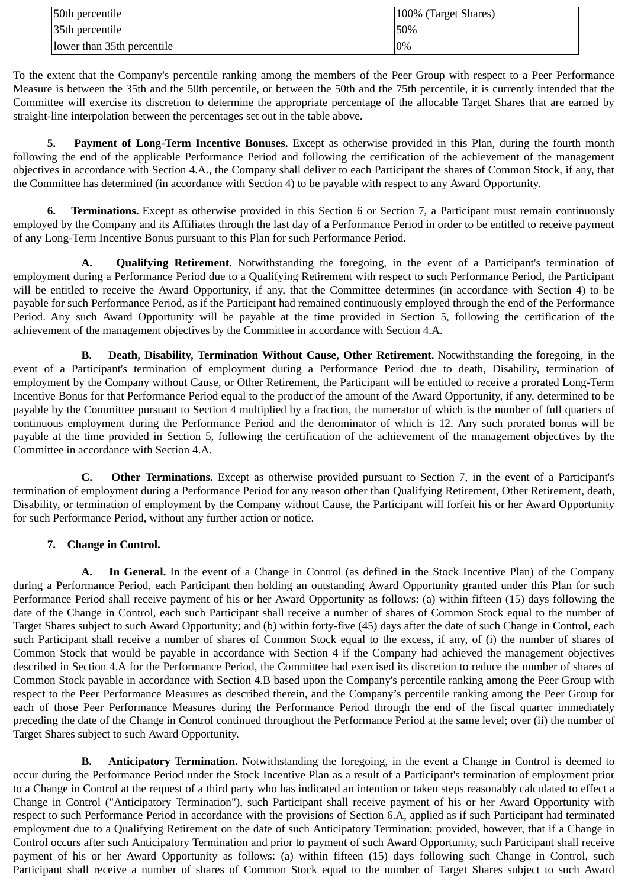| 50th percentile            | 100% (Target Shares) |
|----------------------------|----------------------|
| 35th percentile            | 50%                  |
| lower than 35th percentile | 0%                   |

To the extent that the Company's percentile ranking among the members of the Peer Group with respect to a Peer Performance Measure is between the 35th and the 50th percentile, or between the 50th and the 75th percentile, it is currently intended that the Committee will exercise its discretion to determine the appropriate percentage of the allocable Target Shares that are earned by straight-line interpolation between the percentages set out in the table above.

**5. Payment of Long-Term Incentive Bonuses.** Except as otherwise provided in this Plan, during the fourth month following the end of the applicable Performance Period and following the certification of the achievement of the management objectives in accordance with Section 4.A., the Company shall deliver to each Participant the shares of Common Stock, if any, that the Committee has determined (in accordance with Section 4) to be payable with respect to any Award Opportunity.

**6. Terminations.** Except as otherwise provided in this Section 6 or Section 7, a Participant must remain continuously employed by the Company and its Affiliates through the last day of a Performance Period in order to be entitled to receive payment of any Long-Term Incentive Bonus pursuant to this Plan for such Performance Period.

**A. Qualifying Retirement.** Notwithstanding the foregoing, in the event of a Participant's termination of employment during a Performance Period due to a Qualifying Retirement with respect to such Performance Period, the Participant will be entitled to receive the Award Opportunity, if any, that the Committee determines (in accordance with Section 4) to be payable for such Performance Period, as if the Participant had remained continuously employed through the end of the Performance Period. Any such Award Opportunity will be payable at the time provided in Section 5, following the certification of the achievement of the management objectives by the Committee in accordance with Section 4.A.

**B. Death, Disability, Termination Without Cause, Other Retirement.** Notwithstanding the foregoing, in the event of a Participant's termination of employment during a Performance Period due to death, Disability, termination of employment by the Company without Cause, or Other Retirement, the Participant will be entitled to receive a prorated Long-Term Incentive Bonus for that Performance Period equal to the product of the amount of the Award Opportunity, if any, determined to be payable by the Committee pursuant to Section 4 multiplied by a fraction, the numerator of which is the number of full quarters of continuous employment during the Performance Period and the denominator of which is 12. Any such prorated bonus will be payable at the time provided in Section 5, following the certification of the achievement of the management objectives by the Committee in accordance with Section 4.A.

**C. Other Terminations.** Except as otherwise provided pursuant to Section 7, in the event of a Participant's termination of employment during a Performance Period for any reason other than Qualifying Retirement, Other Retirement, death, Disability, or termination of employment by the Company without Cause, the Participant will forfeit his or her Award Opportunity for such Performance Period, without any further action or notice.

## **7. Change in Control.**

**A. In General.** In the event of a Change in Control (as defined in the Stock Incentive Plan) of the Company during a Performance Period, each Participant then holding an outstanding Award Opportunity granted under this Plan for such Performance Period shall receive payment of his or her Award Opportunity as follows: (a) within fifteen (15) days following the date of the Change in Control, each such Participant shall receive a number of shares of Common Stock equal to the number of Target Shares subject to such Award Opportunity; and (b) within forty-five (45) days after the date of such Change in Control, each such Participant shall receive a number of shares of Common Stock equal to the excess, if any, of (i) the number of shares of Common Stock that would be payable in accordance with Section 4 if the Company had achieved the management objectives described in Section 4.A for the Performance Period, the Committee had exercised its discretion to reduce the number of shares of Common Stock payable in accordance with Section 4.B based upon the Company's percentile ranking among the Peer Group with respect to the Peer Performance Measures as described therein, and the Company's percentile ranking among the Peer Group for each of those Peer Performance Measures during the Performance Period through the end of the fiscal quarter immediately preceding the date of the Change in Control continued throughout the Performance Period at the same level; over (ii) the number of Target Shares subject to such Award Opportunity.

**B. Anticipatory Termination.** Notwithstanding the foregoing, in the event a Change in Control is deemed to occur during the Performance Period under the Stock Incentive Plan as a result of a Participant's termination of employment prior to a Change in Control at the request of a third party who has indicated an intention or taken steps reasonably calculated to effect a Change in Control ("Anticipatory Termination"), such Participant shall receive payment of his or her Award Opportunity with respect to such Performance Period in accordance with the provisions of Section 6.A, applied as if such Participant had terminated employment due to a Qualifying Retirement on the date of such Anticipatory Termination; provided, however, that if a Change in Control occurs after such Anticipatory Termination and prior to payment of such Award Opportunity, such Participant shall receive payment of his or her Award Opportunity as follows: (a) within fifteen (15) days following such Change in Control, such Participant shall receive a number of shares of Common Stock equal to the number of Target Shares subject to such Award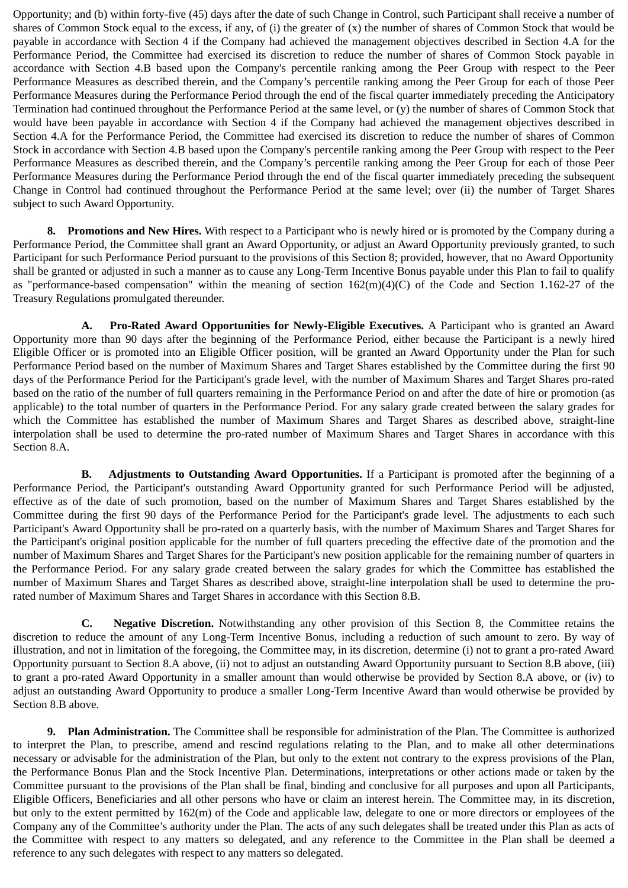Opportunity; and (b) within forty-five (45) days after the date of such Change in Control, such Participant shall receive a number of shares of Common Stock equal to the excess, if any, of (i) the greater of (x) the number of shares of Common Stock that would be payable in accordance with Section 4 if the Company had achieved the management objectives described in Section 4.A for the Performance Period, the Committee had exercised its discretion to reduce the number of shares of Common Stock payable in accordance with Section 4.B based upon the Company's percentile ranking among the Peer Group with respect to the Peer Performance Measures as described therein, and the Company's percentile ranking among the Peer Group for each of those Peer Performance Measures during the Performance Period through the end of the fiscal quarter immediately preceding the Anticipatory Termination had continued throughout the Performance Period at the same level, or (y) the number of shares of Common Stock that would have been payable in accordance with Section 4 if the Company had achieved the management objectives described in Section 4.A for the Performance Period, the Committee had exercised its discretion to reduce the number of shares of Common Stock in accordance with Section 4.B based upon the Company's percentile ranking among the Peer Group with respect to the Peer Performance Measures as described therein, and the Company's percentile ranking among the Peer Group for each of those Peer Performance Measures during the Performance Period through the end of the fiscal quarter immediately preceding the subsequent Change in Control had continued throughout the Performance Period at the same level; over (ii) the number of Target Shares subject to such Award Opportunity.

**8. Promotions and New Hires.** With respect to a Participant who is newly hired or is promoted by the Company during a Performance Period, the Committee shall grant an Award Opportunity, or adjust an Award Opportunity previously granted, to such Participant for such Performance Period pursuant to the provisions of this Section 8; provided, however, that no Award Opportunity shall be granted or adjusted in such a manner as to cause any Long-Term Incentive Bonus payable under this Plan to fail to qualify as "performance-based compensation" within the meaning of section 162(m)(4)(C) of the Code and Section 1.162-27 of the Treasury Regulations promulgated thereunder.

**A. Pro-Rated Award Opportunities for Newly-Eligible Executives.** A Participant who is granted an Award Opportunity more than 90 days after the beginning of the Performance Period, either because the Participant is a newly hired Eligible Officer or is promoted into an Eligible Officer position, will be granted an Award Opportunity under the Plan for such Performance Period based on the number of Maximum Shares and Target Shares established by the Committee during the first 90 days of the Performance Period for the Participant's grade level, with the number of Maximum Shares and Target Shares pro-rated based on the ratio of the number of full quarters remaining in the Performance Period on and after the date of hire or promotion (as applicable) to the total number of quarters in the Performance Period. For any salary grade created between the salary grades for which the Committee has established the number of Maximum Shares and Target Shares as described above, straight-line interpolation shall be used to determine the pro-rated number of Maximum Shares and Target Shares in accordance with this Section 8.A.

**B. Adjustments to Outstanding Award Opportunities.** If a Participant is promoted after the beginning of a Performance Period, the Participant's outstanding Award Opportunity granted for such Performance Period will be adjusted, effective as of the date of such promotion, based on the number of Maximum Shares and Target Shares established by the Committee during the first 90 days of the Performance Period for the Participant's grade level. The adjustments to each such Participant's Award Opportunity shall be pro-rated on a quarterly basis, with the number of Maximum Shares and Target Shares for the Participant's original position applicable for the number of full quarters preceding the effective date of the promotion and the number of Maximum Shares and Target Shares for the Participant's new position applicable for the remaining number of quarters in the Performance Period. For any salary grade created between the salary grades for which the Committee has established the number of Maximum Shares and Target Shares as described above, straight-line interpolation shall be used to determine the prorated number of Maximum Shares and Target Shares in accordance with this Section 8.B.

**C. Negative Discretion.** Notwithstanding any other provision of this Section 8, the Committee retains the discretion to reduce the amount of any Long-Term Incentive Bonus, including a reduction of such amount to zero. By way of illustration, and not in limitation of the foregoing, the Committee may, in its discretion, determine (i) not to grant a pro-rated Award Opportunity pursuant to Section 8.A above, (ii) not to adjust an outstanding Award Opportunity pursuant to Section 8.B above, (iii) to grant a pro-rated Award Opportunity in a smaller amount than would otherwise be provided by Section 8.A above, or (iv) to adjust an outstanding Award Opportunity to produce a smaller Long-Term Incentive Award than would otherwise be provided by Section 8.B above.

**9. Plan Administration.** The Committee shall be responsible for administration of the Plan. The Committee is authorized to interpret the Plan, to prescribe, amend and rescind regulations relating to the Plan, and to make all other determinations necessary or advisable for the administration of the Plan, but only to the extent not contrary to the express provisions of the Plan, the Performance Bonus Plan and the Stock Incentive Plan. Determinations, interpretations or other actions made or taken by the Committee pursuant to the provisions of the Plan shall be final, binding and conclusive for all purposes and upon all Participants, Eligible Officers, Beneficiaries and all other persons who have or claim an interest herein. The Committee may, in its discretion, but only to the extent permitted by 162(m) of the Code and applicable law, delegate to one or more directors or employees of the Company any of the Committee's authority under the Plan. The acts of any such delegates shall be treated under this Plan as acts of the Committee with respect to any matters so delegated, and any reference to the Committee in the Plan shall be deemed a reference to any such delegates with respect to any matters so delegated.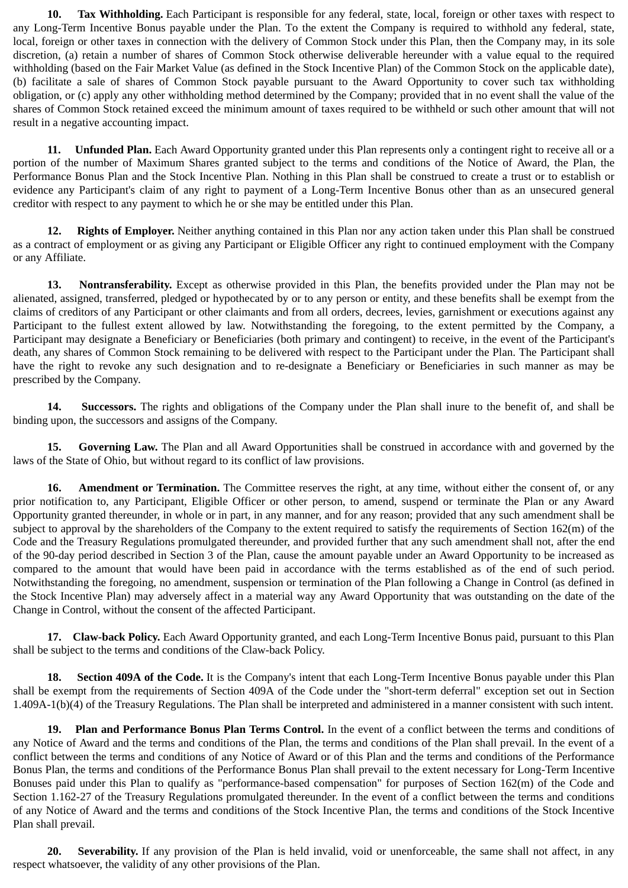**10. Tax Withholding.** Each Participant is responsible for any federal, state, local, foreign or other taxes with respect to any Long-Term Incentive Bonus payable under the Plan. To the extent the Company is required to withhold any federal, state, local, foreign or other taxes in connection with the delivery of Common Stock under this Plan, then the Company may, in its sole discretion, (a) retain a number of shares of Common Stock otherwise deliverable hereunder with a value equal to the required withholding (based on the Fair Market Value (as defined in the Stock Incentive Plan) of the Common Stock on the applicable date), (b) facilitate a sale of shares of Common Stock payable pursuant to the Award Opportunity to cover such tax withholding obligation, or (c) apply any other withholding method determined by the Company; provided that in no event shall the value of the shares of Common Stock retained exceed the minimum amount of taxes required to be withheld or such other amount that will not result in a negative accounting impact.

**11. Unfunded Plan.** Each Award Opportunity granted under this Plan represents only a contingent right to receive all or a portion of the number of Maximum Shares granted subject to the terms and conditions of the Notice of Award, the Plan, the Performance Bonus Plan and the Stock Incentive Plan. Nothing in this Plan shall be construed to create a trust or to establish or evidence any Participant's claim of any right to payment of a Long-Term Incentive Bonus other than as an unsecured general creditor with respect to any payment to which he or she may be entitled under this Plan.

**12. Rights of Employer.** Neither anything contained in this Plan nor any action taken under this Plan shall be construed as a contract of employment or as giving any Participant or Eligible Officer any right to continued employment with the Company or any Affiliate.

**13. Nontransferability.** Except as otherwise provided in this Plan, the benefits provided under the Plan may not be alienated, assigned, transferred, pledged or hypothecated by or to any person or entity, and these benefits shall be exempt from the claims of creditors of any Participant or other claimants and from all orders, decrees, levies, garnishment or executions against any Participant to the fullest extent allowed by law. Notwithstanding the foregoing, to the extent permitted by the Company, a Participant may designate a Beneficiary or Beneficiaries (both primary and contingent) to receive, in the event of the Participant's death, any shares of Common Stock remaining to be delivered with respect to the Participant under the Plan. The Participant shall have the right to revoke any such designation and to re-designate a Beneficiary or Beneficiaries in such manner as may be prescribed by the Company.

**14. Successors.** The rights and obligations of the Company under the Plan shall inure to the benefit of, and shall be binding upon, the successors and assigns of the Company.

**15. Governing Law.** The Plan and all Award Opportunities shall be construed in accordance with and governed by the laws of the State of Ohio, but without regard to its conflict of law provisions.

**16. Amendment or Termination.** The Committee reserves the right, at any time, without either the consent of, or any prior notification to, any Participant, Eligible Officer or other person, to amend, suspend or terminate the Plan or any Award Opportunity granted thereunder, in whole or in part, in any manner, and for any reason; provided that any such amendment shall be subject to approval by the shareholders of the Company to the extent required to satisfy the requirements of Section 162(m) of the Code and the Treasury Regulations promulgated thereunder, and provided further that any such amendment shall not, after the end of the 90-day period described in Section 3 of the Plan, cause the amount payable under an Award Opportunity to be increased as compared to the amount that would have been paid in accordance with the terms established as of the end of such period. Notwithstanding the foregoing, no amendment, suspension or termination of the Plan following a Change in Control (as defined in the Stock Incentive Plan) may adversely affect in a material way any Award Opportunity that was outstanding on the date of the Change in Control, without the consent of the affected Participant.

**17. Claw-back Policy.** Each Award Opportunity granted, and each Long-Term Incentive Bonus paid, pursuant to this Plan shall be subject to the terms and conditions of the Claw-back Policy.

**18. Section 409A of the Code.** It is the Company's intent that each Long-Term Incentive Bonus payable under this Plan shall be exempt from the requirements of Section 409A of the Code under the "short-term deferral" exception set out in Section 1.409A-1(b)(4) of the Treasury Regulations. The Plan shall be interpreted and administered in a manner consistent with such intent.

**19. Plan and Performance Bonus Plan Terms Control.** In the event of a conflict between the terms and conditions of any Notice of Award and the terms and conditions of the Plan, the terms and conditions of the Plan shall prevail. In the event of a conflict between the terms and conditions of any Notice of Award or of this Plan and the terms and conditions of the Performance Bonus Plan, the terms and conditions of the Performance Bonus Plan shall prevail to the extent necessary for Long-Term Incentive Bonuses paid under this Plan to qualify as "performance-based compensation" for purposes of Section 162(m) of the Code and Section 1.162-27 of the Treasury Regulations promulgated thereunder. In the event of a conflict between the terms and conditions of any Notice of Award and the terms and conditions of the Stock Incentive Plan, the terms and conditions of the Stock Incentive Plan shall prevail.

**20. Severability.** If any provision of the Plan is held invalid, void or unenforceable, the same shall not affect, in any respect whatsoever, the validity of any other provisions of the Plan.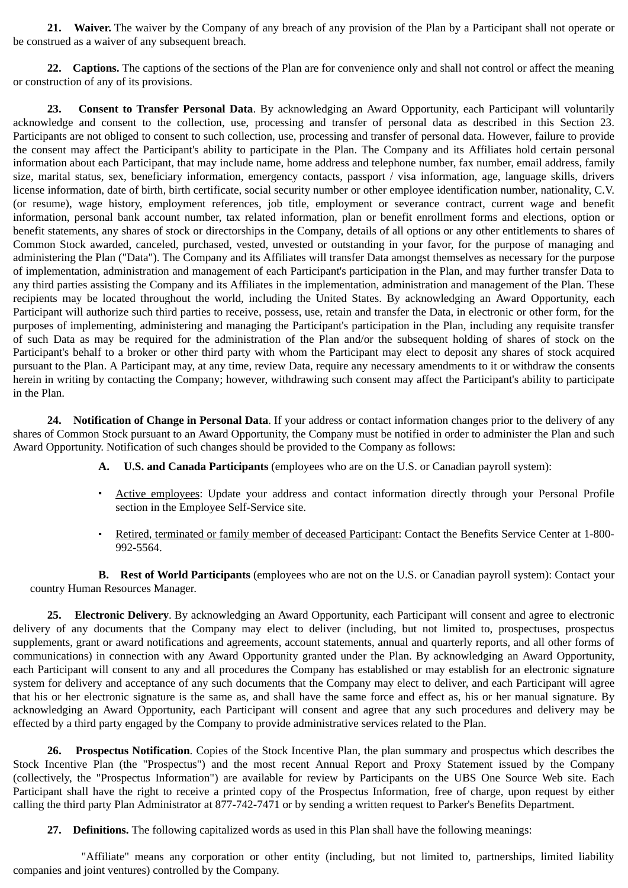**21. Waiver.** The waiver by the Company of any breach of any provision of the Plan by a Participant shall not operate or be construed as a waiver of any subsequent breach.

**22. Captions.** The captions of the sections of the Plan are for convenience only and shall not control or affect the meaning or construction of any of its provisions.

**23. Consent to Transfer Personal Data**. By acknowledging an Award Opportunity, each Participant will voluntarily acknowledge and consent to the collection, use, processing and transfer of personal data as described in this Section 23. Participants are not obliged to consent to such collection, use, processing and transfer of personal data. However, failure to provide the consent may affect the Participant's ability to participate in the Plan. The Company and its Affiliates hold certain personal information about each Participant, that may include name, home address and telephone number, fax number, email address, family size, marital status, sex, beneficiary information, emergency contacts, passport / visa information, age, language skills, drivers license information, date of birth, birth certificate, social security number or other employee identification number, nationality, C.V. (or resume), wage history, employment references, job title, employment or severance contract, current wage and benefit information, personal bank account number, tax related information, plan or benefit enrollment forms and elections, option or benefit statements, any shares of stock or directorships in the Company, details of all options or any other entitlements to shares of Common Stock awarded, canceled, purchased, vested, unvested or outstanding in your favor, for the purpose of managing and administering the Plan ("Data"). The Company and its Affiliates will transfer Data amongst themselves as necessary for the purpose of implementation, administration and management of each Participant's participation in the Plan, and may further transfer Data to any third parties assisting the Company and its Affiliates in the implementation, administration and management of the Plan. These recipients may be located throughout the world, including the United States. By acknowledging an Award Opportunity, each Participant will authorize such third parties to receive, possess, use, retain and transfer the Data, in electronic or other form, for the purposes of implementing, administering and managing the Participant's participation in the Plan, including any requisite transfer of such Data as may be required for the administration of the Plan and/or the subsequent holding of shares of stock on the Participant's behalf to a broker or other third party with whom the Participant may elect to deposit any shares of stock acquired pursuant to the Plan. A Participant may, at any time, review Data, require any necessary amendments to it or withdraw the consents herein in writing by contacting the Company; however, withdrawing such consent may affect the Participant's ability to participate in the Plan.

**24. Notification of Change in Personal Data**. If your address or contact information changes prior to the delivery of any shares of Common Stock pursuant to an Award Opportunity, the Company must be notified in order to administer the Plan and such Award Opportunity. Notification of such changes should be provided to the Company as follows:

- **A. U.S. and Canada Participants** (employees who are on the U.S. or Canadian payroll system):
- Active employees: Update your address and contact information directly through your Personal Profile section in the Employee Self-Service site.
- Retired, terminated or family member of deceased Participant: Contact the Benefits Service Center at 1-800- 992-5564.

**B. Rest of World Participants** (employees who are not on the U.S. or Canadian payroll system): Contact your country Human Resources Manager.

**25. Electronic Delivery**. By acknowledging an Award Opportunity, each Participant will consent and agree to electronic delivery of any documents that the Company may elect to deliver (including, but not limited to, prospectuses, prospectus supplements, grant or award notifications and agreements, account statements, annual and quarterly reports, and all other forms of communications) in connection with any Award Opportunity granted under the Plan. By acknowledging an Award Opportunity, each Participant will consent to any and all procedures the Company has established or may establish for an electronic signature system for delivery and acceptance of any such documents that the Company may elect to deliver, and each Participant will agree that his or her electronic signature is the same as, and shall have the same force and effect as, his or her manual signature. By acknowledging an Award Opportunity, each Participant will consent and agree that any such procedures and delivery may be effected by a third party engaged by the Company to provide administrative services related to the Plan.

**26. Prospectus Notification**. Copies of the Stock Incentive Plan, the plan summary and prospectus which describes the Stock Incentive Plan (the "Prospectus") and the most recent Annual Report and Proxy Statement issued by the Company (collectively, the "Prospectus Information") are available for review by Participants on the UBS One Source Web site. Each Participant shall have the right to receive a printed copy of the Prospectus Information, free of charge, upon request by either calling the third party Plan Administrator at 877-742-7471 or by sending a written request to Parker's Benefits Department.

**27. Definitions.** The following capitalized words as used in this Plan shall have the following meanings:

"Affiliate" means any corporation or other entity (including, but not limited to, partnerships, limited liability companies and joint ventures) controlled by the Company.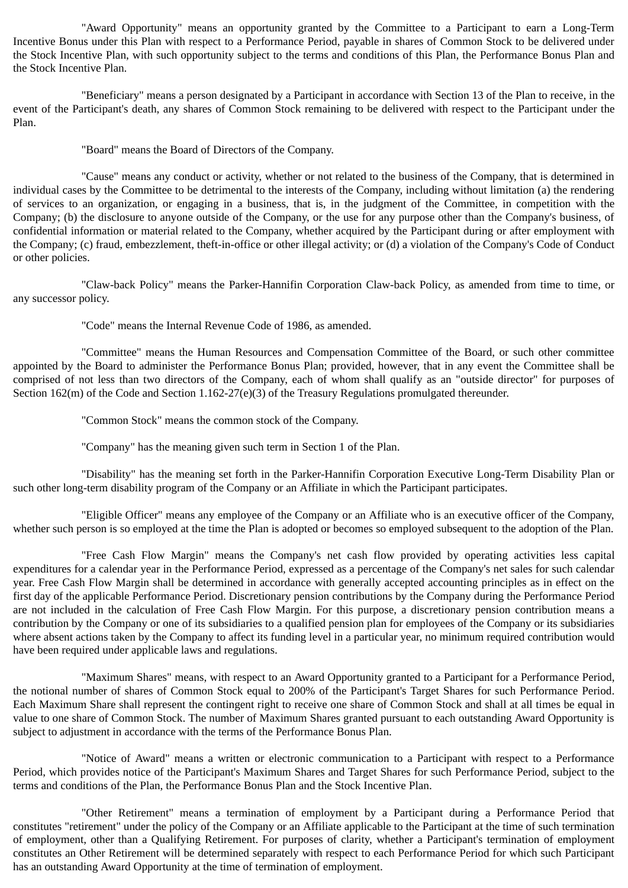"Award Opportunity" means an opportunity granted by the Committee to a Participant to earn a Long-Term Incentive Bonus under this Plan with respect to a Performance Period, payable in shares of Common Stock to be delivered under the Stock Incentive Plan, with such opportunity subject to the terms and conditions of this Plan, the Performance Bonus Plan and the Stock Incentive Plan.

"Beneficiary" means a person designated by a Participant in accordance with Section 13 of the Plan to receive, in the event of the Participant's death, any shares of Common Stock remaining to be delivered with respect to the Participant under the Plan.

"Board" means the Board of Directors of the Company.

"Cause" means any conduct or activity, whether or not related to the business of the Company, that is determined in individual cases by the Committee to be detrimental to the interests of the Company, including without limitation (a) the rendering of services to an organization, or engaging in a business, that is, in the judgment of the Committee, in competition with the Company; (b) the disclosure to anyone outside of the Company, or the use for any purpose other than the Company's business, of confidential information or material related to the Company, whether acquired by the Participant during or after employment with the Company; (c) fraud, embezzlement, theft-in-office or other illegal activity; or (d) a violation of the Company's Code of Conduct or other policies.

"Claw-back Policy" means the Parker-Hannifin Corporation Claw-back Policy, as amended from time to time, or any successor policy.

"Code" means the Internal Revenue Code of 1986, as amended.

"Committee" means the Human Resources and Compensation Committee of the Board, or such other committee appointed by the Board to administer the Performance Bonus Plan; provided, however, that in any event the Committee shall be comprised of not less than two directors of the Company, each of whom shall qualify as an "outside director" for purposes of Section 162(m) of the Code and Section 1.162-27(e)(3) of the Treasury Regulations promulgated thereunder.

"Common Stock" means the common stock of the Company.

"Company" has the meaning given such term in Section 1 of the Plan.

"Disability" has the meaning set forth in the Parker-Hannifin Corporation Executive Long-Term Disability Plan or such other long-term disability program of the Company or an Affiliate in which the Participant participates.

"Eligible Officer" means any employee of the Company or an Affiliate who is an executive officer of the Company, whether such person is so employed at the time the Plan is adopted or becomes so employed subsequent to the adoption of the Plan.

"Free Cash Flow Margin" means the Company's net cash flow provided by operating activities less capital expenditures for a calendar year in the Performance Period, expressed as a percentage of the Company's net sales for such calendar year. Free Cash Flow Margin shall be determined in accordance with generally accepted accounting principles as in effect on the first day of the applicable Performance Period. Discretionary pension contributions by the Company during the Performance Period are not included in the calculation of Free Cash Flow Margin. For this purpose, a discretionary pension contribution means a contribution by the Company or one of its subsidiaries to a qualified pension plan for employees of the Company or its subsidiaries where absent actions taken by the Company to affect its funding level in a particular year, no minimum required contribution would have been required under applicable laws and regulations.

"Maximum Shares" means, with respect to an Award Opportunity granted to a Participant for a Performance Period, the notional number of shares of Common Stock equal to 200% of the Participant's Target Shares for such Performance Period. Each Maximum Share shall represent the contingent right to receive one share of Common Stock and shall at all times be equal in value to one share of Common Stock. The number of Maximum Shares granted pursuant to each outstanding Award Opportunity is subject to adjustment in accordance with the terms of the Performance Bonus Plan.

"Notice of Award" means a written or electronic communication to a Participant with respect to a Performance Period, which provides notice of the Participant's Maximum Shares and Target Shares for such Performance Period, subject to the terms and conditions of the Plan, the Performance Bonus Plan and the Stock Incentive Plan.

"Other Retirement" means a termination of employment by a Participant during a Performance Period that constitutes "retirement" under the policy of the Company or an Affiliate applicable to the Participant at the time of such termination of employment, other than a Qualifying Retirement. For purposes of clarity, whether a Participant's termination of employment constitutes an Other Retirement will be determined separately with respect to each Performance Period for which such Participant has an outstanding Award Opportunity at the time of termination of employment.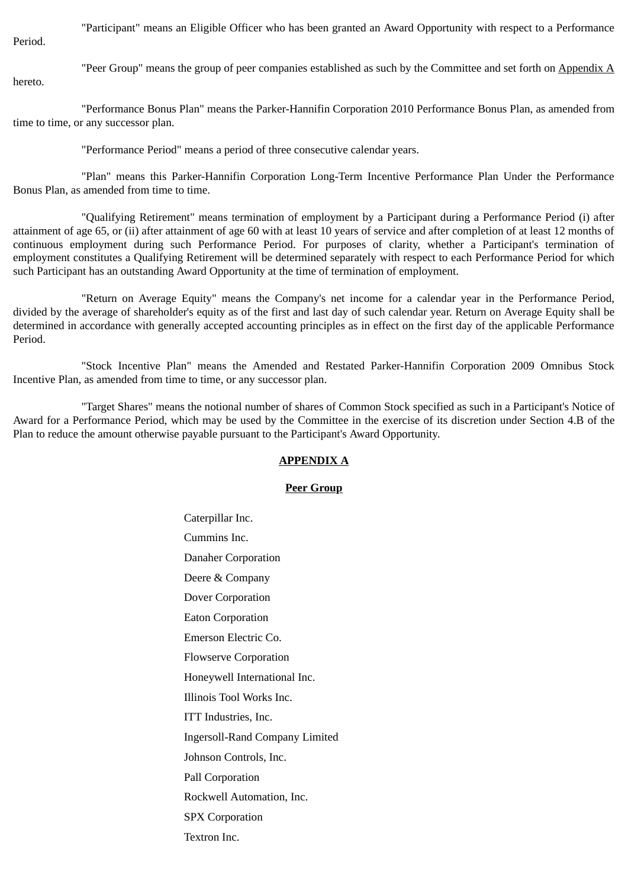"Participant" means an Eligible Officer who has been granted an Award Opportunity with respect to a Performance

Period.

"Peer Group" means the group of peer companies established as such by the Committee and set forth on Appendix A

hereto.

"Performance Bonus Plan" means the Parker-Hannifin Corporation 2010 Performance Bonus Plan, as amended from time to time, or any successor plan.

"Performance Period" means a period of three consecutive calendar years.

"Plan" means this Parker-Hannifin Corporation Long-Term Incentive Performance Plan Under the Performance Bonus Plan, as amended from time to time.

"Qualifying Retirement" means termination of employment by a Participant during a Performance Period (i) after attainment of age 65, or (ii) after attainment of age 60 with at least 10 years of service and after completion of at least 12 months of continuous employment during such Performance Period. For purposes of clarity, whether a Participant's termination of employment constitutes a Qualifying Retirement will be determined separately with respect to each Performance Period for which such Participant has an outstanding Award Opportunity at the time of termination of employment.

"Return on Average Equity" means the Company's net income for a calendar year in the Performance Period, divided by the average of shareholder's equity as of the first and last day of such calendar year. Return on Average Equity shall be determined in accordance with generally accepted accounting principles as in effect on the first day of the applicable Performance Period.

"Stock Incentive Plan" means the Amended and Restated Parker-Hannifin Corporation 2009 Omnibus Stock Incentive Plan, as amended from time to time, or any successor plan.

"Target Shares" means the notional number of shares of Common Stock specified as such in a Participant's Notice of Award for a Performance Period, which may be used by the Committee in the exercise of its discretion under Section 4.B of the Plan to reduce the amount otherwise payable pursuant to the Participant's Award Opportunity.

## **APPENDIX A**

### **Peer Group**

Caterpillar Inc. Cummins Inc. Danaher Corporation Deere & Company Dover Corporation Eaton Corporation Emerson Electric Co. Flowserve Corporation Honeywell International Inc. Illinois Tool Works Inc. ITT Industries, Inc. Ingersoll-Rand Company Limited Johnson Controls, Inc. Pall Corporation Rockwell Automation, Inc. SPX Corporation Textron Inc.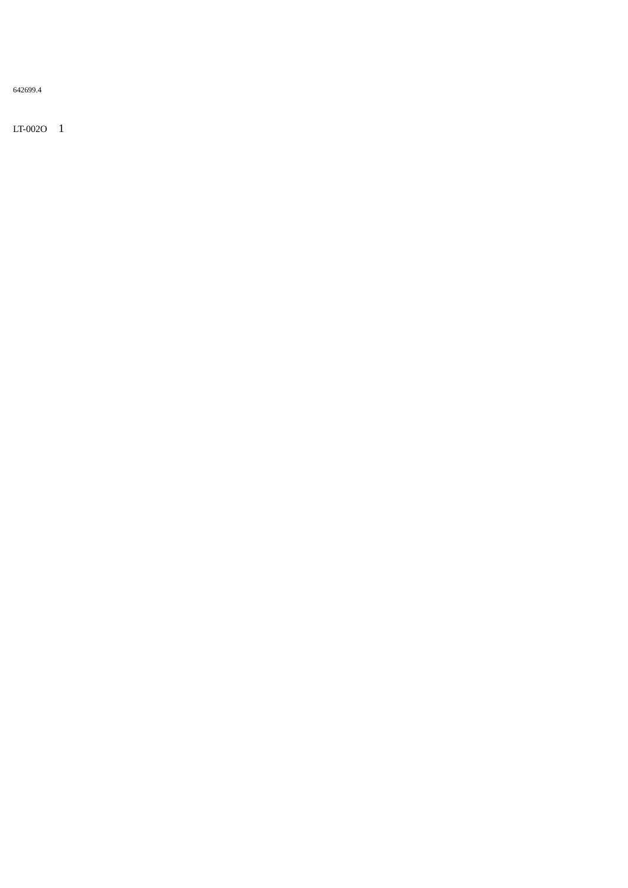642699.4

LT-002O 1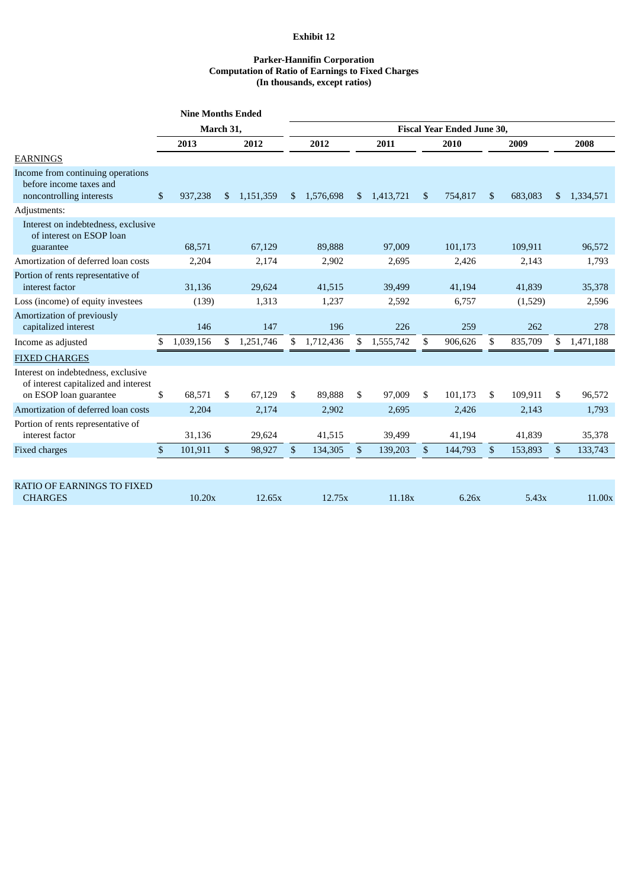## **Exhibit 12**

#### **Parker-Hannifin Corporation Computation of Ratio of Earnings to Fixed Charges (In thousands, except ratios)**

|                                                                                                       | <b>Nine Months Ended</b><br>March 31, |           |    |           |                                   |           |      |           |      |         |                |         |      |           |
|-------------------------------------------------------------------------------------------------------|---------------------------------------|-----------|----|-----------|-----------------------------------|-----------|------|-----------|------|---------|----------------|---------|------|-----------|
|                                                                                                       |                                       |           |    |           | <b>Fiscal Year Ended June 30,</b> |           |      |           |      |         |                |         |      |           |
|                                                                                                       |                                       | 2013      |    | 2012      |                                   | 2012      | 2011 |           | 2010 |         | 2009           |         | 2008 |           |
| <b>EARNINGS</b>                                                                                       |                                       |           |    |           |                                   |           |      |           |      |         |                |         |      |           |
| Income from continuing operations<br>before income taxes and<br>noncontrolling interests              | $\frac{1}{2}$                         | 937,238   | \$ | 1,151,359 | $\mathbb{S}^-$                    | 1,576,698 | \$   | 1,413,721 | \$.  | 754,817 | \$             | 683,083 | \$   | 1,334,571 |
| Adjustments:                                                                                          |                                       |           |    |           |                                   |           |      |           |      |         |                |         |      |           |
| Interest on indebtedness, exclusive<br>of interest on ESOP loan<br>guarantee                          |                                       | 68,571    |    | 67,129    |                                   | 89,888    |      | 97,009    |      | 101,173 |                | 109,911 |      | 96,572    |
| Amortization of deferred loan costs                                                                   |                                       | 2,204     |    | 2,174     |                                   | 2,902     |      | 2,695     |      | 2,426   |                | 2,143   |      | 1,793     |
| Portion of rents representative of<br>interest factor                                                 |                                       | 31,136    |    | 29,624    |                                   | 41,515    |      | 39,499    |      | 41,194  |                | 41,839  |      | 35,378    |
| Loss (income) of equity investees                                                                     |                                       | (139)     |    | 1,313     |                                   | 1,237     |      | 2,592     |      | 6,757   |                | (1,529) |      | 2,596     |
| Amortization of previously<br>capitalized interest                                                    |                                       | 146       |    | 147       |                                   | 196       |      | 226       |      | 259     |                | 262     |      | 278       |
| Income as adjusted                                                                                    | \$                                    | 1,039,156 | \$ | 1,251,746 | \$                                | 1,712,436 | \$   | 1,555,742 | \$   | 906,626 | \$             | 835,709 | \$   | 1,471,188 |
| <b>FIXED CHARGES</b>                                                                                  |                                       |           |    |           |                                   |           |      |           |      |         |                |         |      |           |
| Interest on indebtedness, exclusive<br>of interest capitalized and interest<br>on ESOP loan guarantee | \$                                    | 68,571    | \$ | 67,129    | \$                                | 89,888    | \$   | 97,009    | \$   | 101,173 | \$.            | 109,911 | \$   | 96,572    |
| Amortization of deferred loan costs                                                                   |                                       | 2,204     |    | 2,174     |                                   | 2,902     |      | 2,695     |      | 2,426   |                | 2,143   |      | 1,793     |
| Portion of rents representative of<br>interest factor                                                 |                                       | 31,136    |    | 29,624    |                                   | 41,515    |      | 39,499    |      | 41,194  |                | 41,839  |      | 35,378    |
| <b>Fixed charges</b>                                                                                  | $\boldsymbol{\mathsf{S}}$             | 101,911   | \$ | 98,927    | $\mathbb{S}$                      | 134,305   | \$   | 139,203   | \$   | 144,793 | $\mathfrak{S}$ | 153,893 | \$   | 133,743   |
|                                                                                                       |                                       |           |    |           |                                   |           |      |           |      |         |                |         |      |           |
| <b>RATIO OF EARNINGS TO FIXED</b><br><b>CHARGES</b>                                                   |                                       | 10.20x    |    | 12.65x    |                                   | 12.75x    |      | 11.18x    |      | 6.26x   |                | 5.43x   |      | 11.00x    |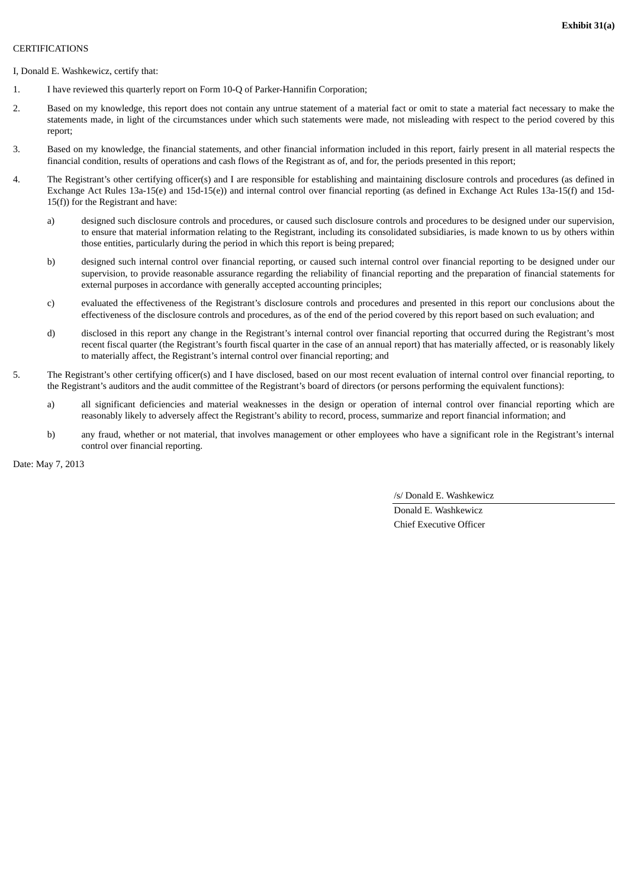#### **CERTIFICATIONS**

I, Donald E. Washkewicz, certify that:

- 1. I have reviewed this quarterly report on Form 10-Q of Parker-Hannifin Corporation;
- 2. Based on my knowledge, this report does not contain any untrue statement of a material fact or omit to state a material fact necessary to make the statements made, in light of the circumstances under which such statements were made, not misleading with respect to the period covered by this report;
- 3. Based on my knowledge, the financial statements, and other financial information included in this report, fairly present in all material respects the financial condition, results of operations and cash flows of the Registrant as of, and for, the periods presented in this report;
- 4. The Registrant's other certifying officer(s) and I are responsible for establishing and maintaining disclosure controls and procedures (as defined in Exchange Act Rules 13a-15(e) and 15d-15(e)) and internal control over financial reporting (as defined in Exchange Act Rules 13a-15(f) and 15d-15(f)) for the Registrant and have:
	- a) designed such disclosure controls and procedures, or caused such disclosure controls and procedures to be designed under our supervision, to ensure that material information relating to the Registrant, including its consolidated subsidiaries, is made known to us by others within those entities, particularly during the period in which this report is being prepared;
	- b) designed such internal control over financial reporting, or caused such internal control over financial reporting to be designed under our supervision, to provide reasonable assurance regarding the reliability of financial reporting and the preparation of financial statements for external purposes in accordance with generally accepted accounting principles;
	- c) evaluated the effectiveness of the Registrant's disclosure controls and procedures and presented in this report our conclusions about the effectiveness of the disclosure controls and procedures, as of the end of the period covered by this report based on such evaluation; and
	- d) disclosed in this report any change in the Registrant's internal control over financial reporting that occurred during the Registrant's most recent fiscal quarter (the Registrant's fourth fiscal quarter in the case of an annual report) that has materially affected, or is reasonably likely to materially affect, the Registrant's internal control over financial reporting; and
- 5. The Registrant's other certifying officer(s) and I have disclosed, based on our most recent evaluation of internal control over financial reporting, to the Registrant's auditors and the audit committee of the Registrant's board of directors (or persons performing the equivalent functions):
	- a) all significant deficiencies and material weaknesses in the design or operation of internal control over financial reporting which are reasonably likely to adversely affect the Registrant's ability to record, process, summarize and report financial information; and
	- b) any fraud, whether or not material, that involves management or other employees who have a significant role in the Registrant's internal control over financial reporting.

Date: May 7, 2013

/s/ Donald E. Washkewicz

Donald E. Washkewicz Chief Executive Officer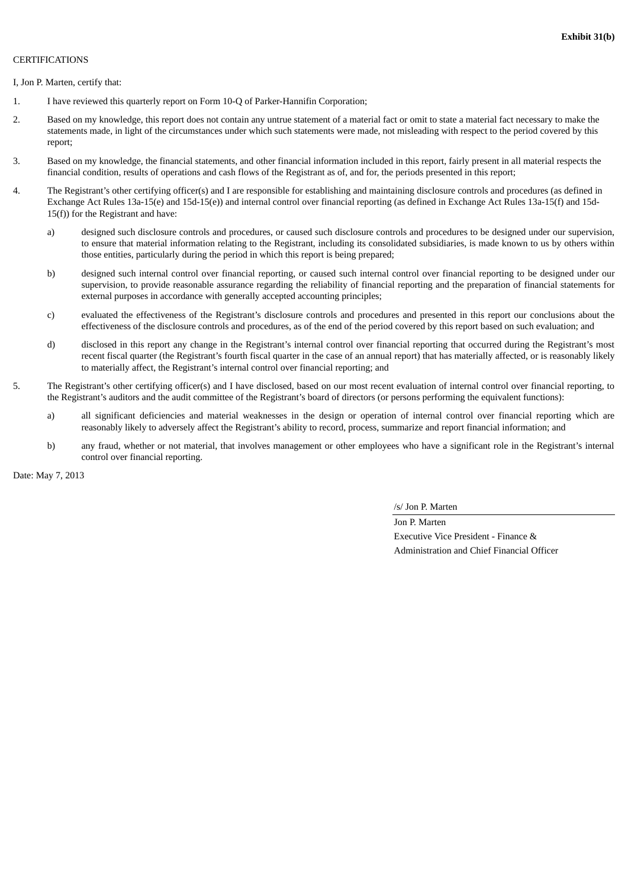#### **CERTIFICATIONS**

I, Jon P. Marten, certify that:

- 1. I have reviewed this quarterly report on Form 10-Q of Parker-Hannifin Corporation;
- 2. Based on my knowledge, this report does not contain any untrue statement of a material fact or omit to state a material fact necessary to make the statements made, in light of the circumstances under which such statements were made, not misleading with respect to the period covered by this report;
- 3. Based on my knowledge, the financial statements, and other financial information included in this report, fairly present in all material respects the financial condition, results of operations and cash flows of the Registrant as of, and for, the periods presented in this report;
- 4. The Registrant's other certifying officer(s) and I are responsible for establishing and maintaining disclosure controls and procedures (as defined in Exchange Act Rules 13a-15(e) and 15d-15(e)) and internal control over financial reporting (as defined in Exchange Act Rules 13a-15(f) and 15d-15(f)) for the Registrant and have:
	- a) designed such disclosure controls and procedures, or caused such disclosure controls and procedures to be designed under our supervision, to ensure that material information relating to the Registrant, including its consolidated subsidiaries, is made known to us by others within those entities, particularly during the period in which this report is being prepared;
	- b) designed such internal control over financial reporting, or caused such internal control over financial reporting to be designed under our supervision, to provide reasonable assurance regarding the reliability of financial reporting and the preparation of financial statements for external purposes in accordance with generally accepted accounting principles;
	- c) evaluated the effectiveness of the Registrant's disclosure controls and procedures and presented in this report our conclusions about the effectiveness of the disclosure controls and procedures, as of the end of the period covered by this report based on such evaluation; and
	- d) disclosed in this report any change in the Registrant's internal control over financial reporting that occurred during the Registrant's most recent fiscal quarter (the Registrant's fourth fiscal quarter in the case of an annual report) that has materially affected, or is reasonably likely to materially affect, the Registrant's internal control over financial reporting; and
- 5. The Registrant's other certifying officer(s) and I have disclosed, based on our most recent evaluation of internal control over financial reporting, to the Registrant's auditors and the audit committee of the Registrant's board of directors (or persons performing the equivalent functions):
	- a) all significant deficiencies and material weaknesses in the design or operation of internal control over financial reporting which are reasonably likely to adversely affect the Registrant's ability to record, process, summarize and report financial information; and
	- b) any fraud, whether or not material, that involves management or other employees who have a significant role in the Registrant's internal control over financial reporting.

Date: May 7, 2013

/s/ Jon P. Marten

Jon P. Marten Executive Vice President - Finance & Administration and Chief Financial Officer